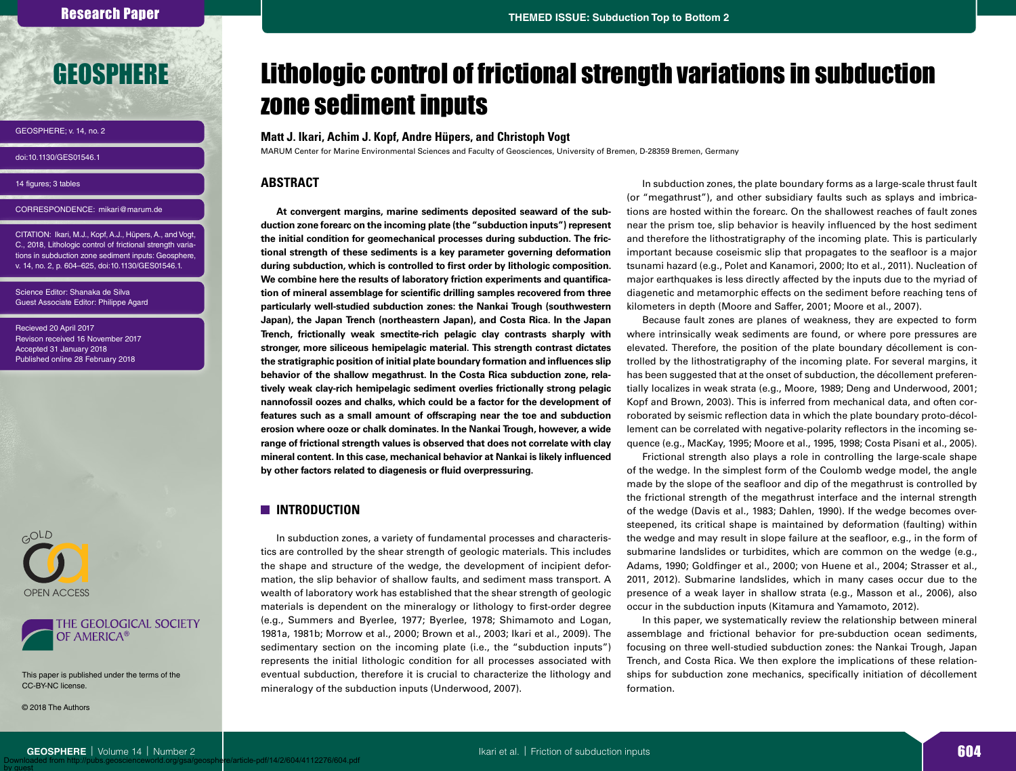# [GEOSPHERE](http://geosphere.gsapubs.org)

GEOSPHERE; v. 14, no. 2

doi:10.1130/GES01546.1

14 figures; 3 tables

CORRESPONDENCE: mikari@marum.de

CITATION: Ikari, M.J., Kopf, A.J., Hüpers, A., and Vogt, C., 2018, Lithologic control of frictional strength variations in subduction zone sediment inputs: Geosphere, v. 14, no. 2, p. 604–625, doi:10.1130/GES01546.1.

Science Editor: Shanaka de Silva Guest Associate Editor: Philippe Agard

Recieved 20 April 2017 Revison received 16 November 2017 Accepted 31 January 2018 Published online 28 February 2018





[This paper is published under the terms of the](http://www.geosociety.org/pubs/openAccess.htm)  CC‑BY-NC license.

© 2018 The Authors

by guest

# Lithologic control of frictional strength variations in subduction zone sediment inputs

## **Matt J. Ikari, Achim J. Kopf, Andre Hüpers, and Christoph Vogt**

MARUM Center for Marine Environmental Sciences and Faculty of Geosciences, University of Bremen, D-28359 Bremen, Germany

## **ABSTRACT**

**At convergent margins, marine sediments deposited seaward of the subduction zone forearc on the incoming plate (the "subduction inputs") represent the initial condition for geomechanical processes during subduction. The frictional strength of these sediments is a key parameter governing deformation during subduction, which is controlled to first order by lithologic composition. We combine here the results of laboratory friction experiments and quantification of mineral assemblage for scientific drilling samples recovered from three particularly well-studied subduction zones: the Nankai Trough (southwestern Japan), the Japan Trench (northeastern Japan), and Costa Rica. In the Japan Trench, frictionally weak smectite-rich pelagic clay contrasts sharply with stronger, more siliceous hemipelagic material. This strength contrast dictates the stratigraphic position of initial plate boundary formation and influences slip behavior of the shallow megathrust. In the Costa Rica subduction zone, relatively weak clay-rich hemipelagic sediment overlies frictionally strong pelagic nannofossil oozes and chalks, which could be a factor for the development of features such as a small amount of offscraping near the toe and subduction erosion where ooze or chalk dominates. In the Nankai Trough, however, a wide range of frictional strength values is observed that does not correlate with clay mineral content. In this case, mechanical behavior at Nankai is likely influenced by other factors related to diagenesis or fluid overpressuring.**

# **INTRODUCTION**

In subduction zones, a variety of fundamental processes and characteristics are controlled by the shear strength of geologic materials. This includes the shape and structure of the wedge, the development of incipient deformation, the slip behavior of shallow faults, and sediment mass transport. A wealth of laboratory work has established that the shear strength of geologic materials is dependent on the mineralogy or lithology to first-order degree (e.g., Summers and Byerlee, 1977; Byerlee, 1978; Shimamoto and Logan, 1981a, 1981b; Morrow et al., 2000; Brown et al., 2003; Ikari et al., 2009). The sedimentary section on the incoming plate (i.e., the "subduction inputs") represents the initial lithologic condition for all processes associated with eventual subduction, therefore it is crucial to characterize the lithology and mineralogy of the subduction inputs (Underwood, 2007).

In subduction zones, the plate boundary forms as a large-scale thrust fault (or "megathrust"), and other subsidiary faults such as splays and imbrications are hosted within the forearc. On the shallowest reaches of fault zones near the prism toe, slip behavior is heavily influenced by the host sediment and therefore the lithostratigraphy of the incoming plate. This is particularly important because coseismic slip that propagates to the seafloor is a major tsunami hazard (e.g., Polet and Kanamori, 2000; Ito et al., 2011). Nucleation of major earthquakes is less directly affected by the inputs due to the myriad of diagenetic and metamorphic effects on the sediment before reaching tens of kilometers in depth (Moore and Saffer, 2001; Moore et al., 2007).

Because fault zones are planes of weakness, they are expected to form where intrinsically weak sediments are found, or where pore pressures are elevated. Therefore, the position of the plate boundary décollement is controlled by the lithostratigraphy of the incoming plate. For several margins, it has been suggested that at the onset of subduction, the décollement preferentially localizes in weak strata (e.g., Moore, 1989; Deng and Underwood, 2001; Kopf and Brown, 2003). This is inferred from mechanical data, and often corroborated by seismic reflection data in which the plate boundary proto-décollement can be correlated with negative-polarity reflectors in the incoming sequence (e.g., MacKay, 1995; Moore et al., 1995, 1998; Costa Pisani et al., 2005).

Frictional strength also plays a role in controlling the large-scale shape of the wedge. In the simplest form of the Coulomb wedge model, the angle made by the slope of the seafloor and dip of the megathrust is controlled by the frictional strength of the megathrust interface and the internal strength of the wedge (Davis et al., 1983; Dahlen, 1990). If the wedge becomes oversteepened, its critical shape is maintained by deformation (faulting) within the wedge and may result in slope failure at the seafloor, e.g., in the form of submarine landslides or turbidites, which are common on the wedge (e.g., Adams, 1990; Goldfinger et al., 2000; von Huene et al., 2004; Strasser et al., 2011, 2012). Submarine landslides, which in many cases occur due to the presence of a weak layer in shallow strata (e.g., Masson et al., 2006), also occur in the subduction inputs (Kitamura and Yamamoto, 2012).

In this paper, we systematically review the relationship between mineral assemblage and frictional behavior for pre-subduction ocean sediments, focusing on three well-studied subduction zones: the Nankai Trough, Japan Trench, and Costa Rica. We then explore the implications of these relationships for subduction zone mechanics, specifically initiation of décollement formation.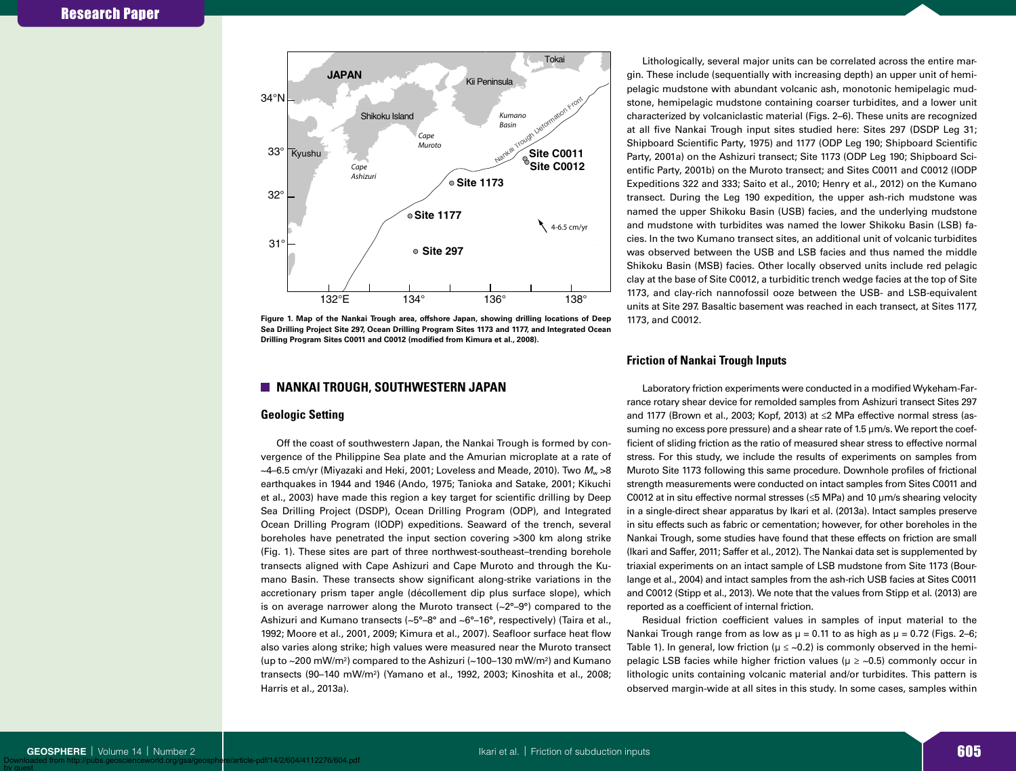

**Figure 1. Map of the Nankai Trough area, offshore Japan, showing drilling locations of Deep Sea Drilling Project Site 297, Ocean Drilling Program Sites 1173 and 1177, and Integrated Ocean Drilling Program Sites C0011 and C0012 (modified from Kimura et al., 2008).**

# **NANKAI TROUGH, SOUTHWESTERN JAPAN**

## **Geologic Setting**

Off the coast of southwestern Japan, the Nankai Trough is formed by convergence of the Philippine Sea plate and the Amurian microplate at a rate of  $\sim$ 4–6.5 cm/yr (Miyazaki and Heki, 2001; Loveless and Meade, 2010). Two  $M_{\rm w}$  >8 earthquakes in 1944 and 1946 (Ando, 1975; Tanioka and Satake, 2001; Kikuchi et al., 2003) have made this region a key target for scientific drilling by Deep Sea Drilling Project (DSDP), Ocean Drilling Program (ODP), and Integrated Ocean Drilling Program (IODP) expeditions. Seaward of the trench, several boreholes have penetrated the input section covering >300 km along strike (Fig. 1). These sites are part of three northwest-southeast–trending borehole transects aligned with Cape Ashizuri and Cape Muroto and through the Kumano Basin. These transects show significant along-strike variations in the accretionary prism taper angle (décollement dip plus surface slope), which is on average narrower along the Muroto transect  $(-2^{\circ}-9^{\circ})$  compared to the Ashizuri and Kumano transects (~5°-8° and ~6°-16°, respectively) (Taira et al., 1992; Moore et al., 2001, 2009; Kimura et al., 2007). Seafloor surface heat flow also varies along strike; high values were measured near the Muroto transect (up to  $\sim$ 200 mW/m<sup>2</sup>) compared to the Ashizuri ( $\sim$ 100–130 mW/m<sup>2</sup>) and Kumano transects (90–140 mW/m2 ) (Yamano et al., 1992, 2003; Kinoshita et al., 2008; Harris et al., 2013a).

Lithologically, several major units can be correlated across the entire margin. These include (sequentially with increasing depth) an upper unit of hemipelagic mudstone with abundant volcanic ash, monotonic hemipelagic mudstone, hemipelagic mudstone containing coarser turbidites, and a lower unit characterized by volcaniclastic material (Figs. 2–6). These units are recognized at all five Nankai Trough input sites studied here: Sites 297 (DSDP Leg 31; Shipboard Scientific Party, 1975) and 1177 (ODP Leg 190; Shipboard Scientific Party, 2001a) on the Ashizuri transect; Site 1173 (ODP Leg 190; Shipboard Scientific Party, 2001b) on the Muroto transect; and Sites C0011 and C0012 (IODP Expeditions 322 and 333; Saito et al., 2010; Henry et al., 2012) on the Kumano transect. During the Leg 190 expedition, the upper ash-rich mudstone was named the upper Shikoku Basin (USB) facies, and the underlying mudstone and mudstone with turbidites was named the lower Shikoku Basin (LSB) facies. In the two Kumano transect sites, an additional unit of volcanic turbidites was observed between the USB and LSB facies and thus named the middle Shikoku Basin (MSB) facies. Other locally observed units include red pelagic clay at the base of Site C0012, a turbiditic trench wedge facies at the top of Site 1173, and clay-rich nannofossil ooze between the USB- and LSB-equivalent units at Site 297. Basaltic basement was reached in each transect, at Sites 1177, 1173, and C0012.

# **Friction of Nankai Trough Inputs**

Laboratory friction experiments were conducted in a modified Wykeham-Farrance rotary shear device for remolded samples from Ashizuri transect Sites 297 and 1177 (Brown et al., 2003; Kopf, 2013) at ≤2 MPa effective normal stress (assuming no excess pore pressure) and a shear rate of 1.5 µm/s. We report the coefficient of sliding friction as the ratio of measured shear stress to effective normal stress. For this study, we include the results of experiments on samples from Muroto Site 1173 following this same procedure. Downhole profiles of frictional strength measurements were conducted on intact samples from Sites C0011 and C0012 at in situ effective normal stresses (≤5 MPa) and 10 µm/s shearing velocity in a single-direct shear apparatus by Ikari et al. (2013a). Intact samples preserve in situ effects such as fabric or cementation; however, for other boreholes in the Nankai Trough, some studies have found that these effects on friction are small (Ikari and Saffer, 2011; Saffer et al., 2012). The Nankai data set is supplemented by triaxial experiments on an intact sample of LSB mudstone from Site 1173 (Bourlange et al., 2004) and intact samples from the ash-rich USB facies at Sites C0011 and C0012 (Stipp et al., 2013). We note that the values from Stipp et al. (2013) are reported as a coefficient of internal friction.

Residual friction coefficient values in samples of input material to the Nankai Trough range from as low as  $\mu = 0.11$  to as high as  $\mu = 0.72$  (Figs. 2–6; Table 1). In general, low friction ( $\mu \leq$  ~0.2) is commonly observed in the hemipelagic LSB facies while higher friction values ( $\mu \geq 0.5$ ) commonly occur in lithologic units containing volcanic material and/or turbidites. This pattern is observed margin-wide at all sites in this study. In some cases, samples within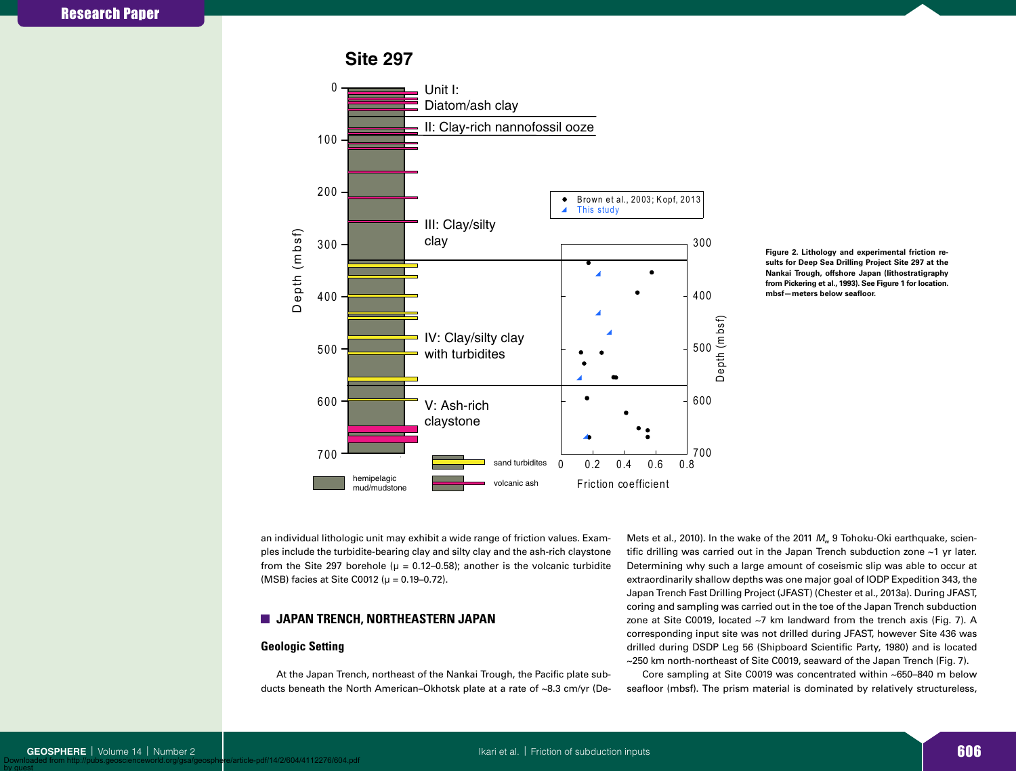**Site 297**



**Figure 2. Lithology and experimental friction results for Deep Sea Drilling Project Site 297 at the Nankai Trough, offshore Japan (lithostratigraphy from Pickering et al., 1993). See Figure 1 for location. mbsf—meters below seafloor.**

an individual lithologic unit may exhibit a wide range of friction values. Examples include the turbidite-bearing clay and silty clay and the ash-rich claystone from the Site 297 borehole ( $\mu$  = 0.12–0.58); another is the volcanic turbidite (MSB) facies at Site C0012 ( $\mu = 0.19 - 0.72$ ).

# **JAPAN TRENCH, NORTHEASTERN JAPAN**

## **Geologic Setting**

At the Japan Trench, northeast of the Nankai Trough, the Pacific plate subducts beneath the North American–Okhotsk plate at a rate of ~8.3 cm/yr (DeMets et al., 2010). In the wake of the 2011 M<sub>w</sub> 9 Tohoku-Oki earthquake, scientific drilling was carried out in the Japan Trench subduction zone ~1 yr later. Determining why such a large amount of coseismic slip was able to occur at extraordinarily shallow depths was one major goal of IODP Expedition 343, the Japan Trench Fast Drilling Project (JFAST) (Chester et al., 2013a). During JFAST, coring and sampling was carried out in the toe of the Japan Trench subduction zone at Site C0019, located ~7 km landward from the trench axis (Fig. 7). A corresponding input site was not drilled during JFAST, however Site 436 was drilled during DSDP Leg 56 (Shipboard Scientific Party, 1980) and is located ~250 km north-northeast of Site C0019, seaward of the Japan Trench (Fig. 7).

Core sampling at Site C0019 was concentrated within ~650–840 m below seafloor (mbsf). The prism material is dominated by relatively structureless,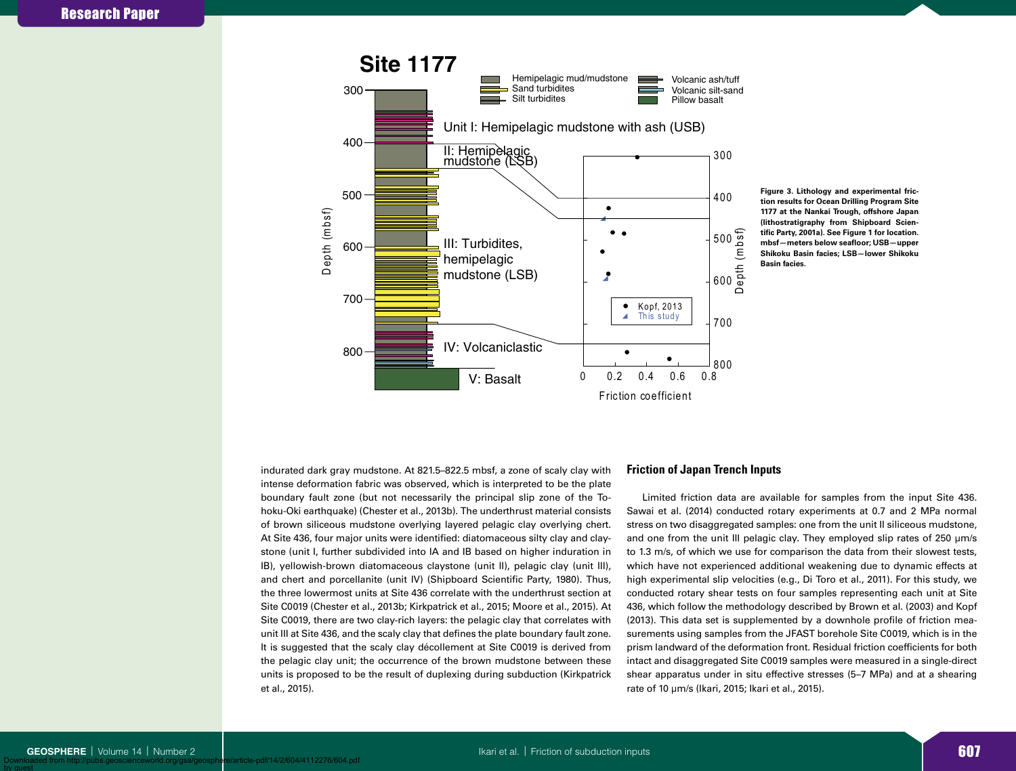

**Figure 3. Lithology and experimental friction results for Ocean Drilling Program Site 1177 at the Nankai Trough, offshore Japan (lithostratigraphy from Shipboard Scientific Party, 2001a). See Figure 1 for location. mbsf—meters below seafloor; USB—upper Shikoku Basin facies; LSB—lower Shikoku Basin facies.**

indurated dark gray mudstone. At 821.5–822.5 mbsf, a zone of scaly clay with intense deformation fabric was observed, which is interpreted to be the plate boundary fault zone (but not necessarily the principal slip zone of the Tohoku-Oki earthquake) (Chester et al., 2013b). The underthrust material consists of brown siliceous mudstone overlying layered pelagic clay overlying chert. At Site 436, four major units were identified: diatomaceous silty clay and claystone (unit I, further subdivided into IA and IB based on higher induration in IB), yellowish-brown diatomaceous claystone (unit II), pelagic clay (unit III), and chert and porcellanite (unit IV) (Shipboard Scientific Party, 1980). Thus, the three lowermost units at Site 436 correlate with the underthrust section at Site C0019 (Chester et al., 2013b; Kirkpatrick et al., 2015; Moore et al., 2015). At Site C0019, there are two clay-rich layers: the pelagic clay that correlates with unit III at Site 436, and the scaly clay that defines the plate boundary fault zone. It is suggested that the scaly clay décollement at Site C0019 is derived from the pelagic clay unit; the occurrence of the brown mudstone between these units is proposed to be the result of duplexing during subduction (Kirkpatrick et al., 2015).

## **Friction of Japan Trench Inputs**

Limited friction data are available for samples from the input Site 436. Sawai et al. (2014) conducted rotary experiments at 0.7 and 2 MPa normal stress on two disaggregated samples: one from the unit II siliceous mudstone, and one from the unit III pelagic clay. They employed slip rates of 250  $\mu$ m/s to 1.3 m/s, of which we use for comparison the data from their slowest tests, which have not experienced additional weakening due to dynamic effects at high experimental slip velocities (e.g., Di Toro et al., 2011). For this study, we conducted rotary shear tests on four samples representing each unit at Site 436, which follow the methodology described by Brown et al. (2003) and Kopf (2013). This data set is supplemented by a downhole profile of friction measurements using samples from the JFAST borehole Site C0019, which is in the prism landward of the deformation front. Residual friction coefficients for both intact and disaggregated Site C0019 samples were measured in a single-direct shear apparatus under in situ effective stresses (5–7 MPa) and at a shearing rate of 10 µm/s (Ikari, 2015; Ikari et al., 2015).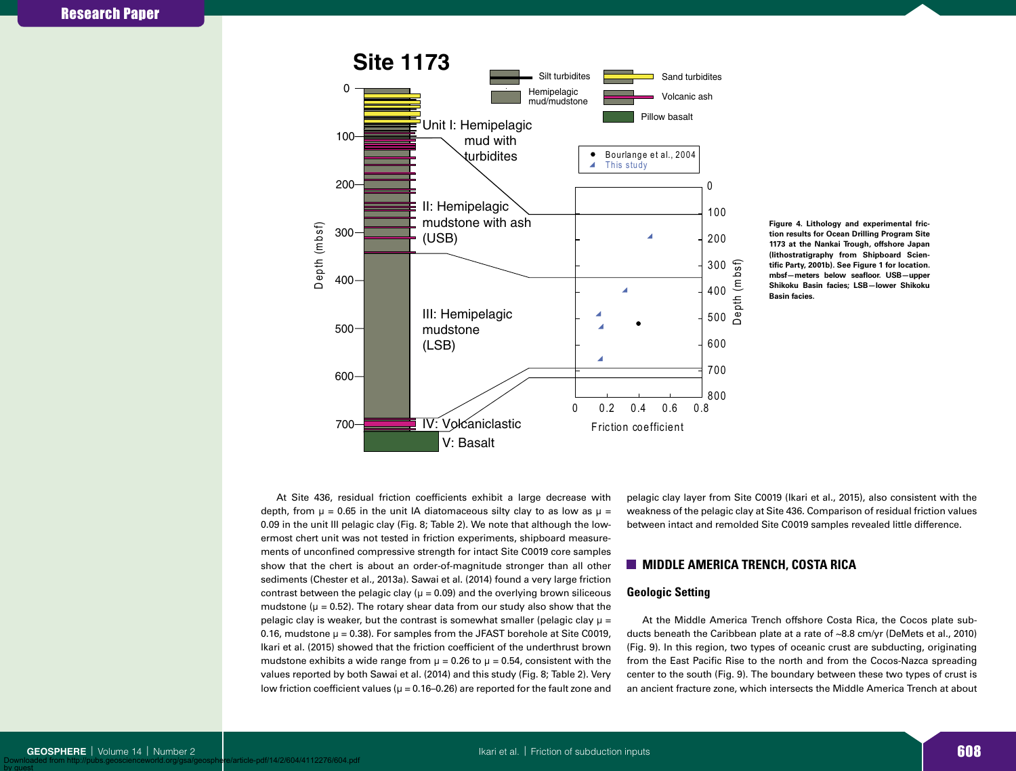

**Figure 4. Lithology and experimental friction results for Ocean Drilling Program Site 1173 at the Nankai Trough, offshore Japan (lithostratigraphy from Shipboard Scientific Party, 2001b). See Figure 1 for location. mbsf—meters below seafloor. USB—upper Shikoku Basin facies; LSB—lower Shikoku Basin facies.**

At Site 436, residual friction coefficients exhibit a large decrease with depth, from  $\mu$  = 0.65 in the unit IA diatomaceous silty clay to as low as  $\mu$  = 0.09 in the unit III pelagic clay (Fig. 8; Table 2). We note that although the lowermost chert unit was not tested in friction experiments, shipboard measurements of unconfined compressive strength for intact Site C0019 core samples show that the chert is about an order-of-magnitude stronger than all other sediments (Chester et al., 2013a). Sawai et al. (2014) found a very large friction contrast between the pelagic clay ( $\mu$  = 0.09) and the overlying brown siliceous mudstone ( $\mu$  = 0.52). The rotary shear data from our study also show that the pelagic clay is weaker, but the contrast is somewhat smaller (pelagic clay  $\mu$  = 0.16, mudstone  $\mu = 0.38$ ). For samples from the JFAST borehole at Site C0019, Ikari et al. (2015) showed that the friction coefficient of the underthrust brown mudstone exhibits a wide range from  $\mu = 0.26$  to  $\mu = 0.54$ , consistent with the values reported by both Sawai et al. (2014) and this study (Fig. 8; Table 2). Very low friction coefficient values ( $\mu$  = 0.16–0.26) are reported for the fault zone and pelagic clay layer from Site C0019 (Ikari et al., 2015), also consistent with the weakness of the pelagic clay at Site 436. Comparison of residual friction values between intact and remolded Site C0019 samples revealed little difference.

# **MIDDLE AMERICA TRENCH, COSTA RICA**

### **Geologic Setting**

At the Middle America Trench offshore Costa Rica, the Cocos plate subducts beneath the Caribbean plate at a rate of ~8.8 cm/yr (DeMets et al., 2010) (Fig. 9). In this region, two types of oceanic crust are subducting, originating from the East Pacific Rise to the north and from the Cocos-Nazca spreading center to the south (Fig. 9). The boundary between these two types of crust is an ancient fracture zone, which intersects the Middle America Trench at about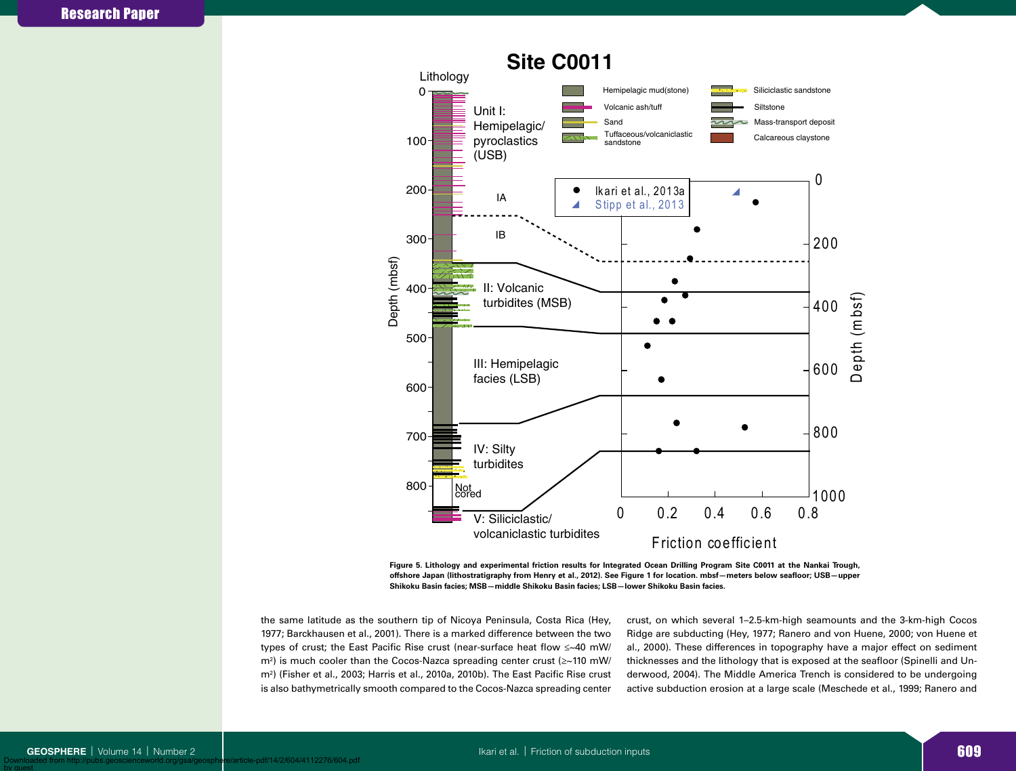

**Figure 5. Lithology and experimental friction results for Integrated Ocean Drilling Program Site C0011 at the Nankai Trough, offshore Japan (lithostratigraphy from Henry et al., 2012). See Figure 1 for location. mbsf—meters below seafloor; USB—upper Shikoku Basin facies; MSB—middle Shikoku Basin facies; LSB—lower Shikoku Basin facies.**

the same latitude as the southern tip of Nicoya Peninsula, Costa Rica (Hey, 1977; Barckhausen et al., 2001). There is a marked difference between the two types of crust; the East Pacific Rise crust (near-surface heat flow ≤~40 mW/ m2 ) is much cooler than the Cocos-Nazca spreading center crust (≥~110 mW/ m2 ) (Fisher et al., 2003; Harris et al., 2010a, 2010b). The East Pacific Rise crust is also bathymetrically smooth compared to the Cocos-Nazca spreading center

crust, on which several 1–2.5-km-high seamounts and the 3-km-high Cocos Ridge are subducting (Hey, 1977; Ranero and von Huene, 2000; von Huene et al., 2000). These differences in topography have a major effect on sediment thicknesses and the lithology that is exposed at the seafloor (Spinelli and Underwood, 2004). The Middle America Trench is considered to be undergoing active subduction erosion at a large scale (Meschede et al., 1999; Ranero and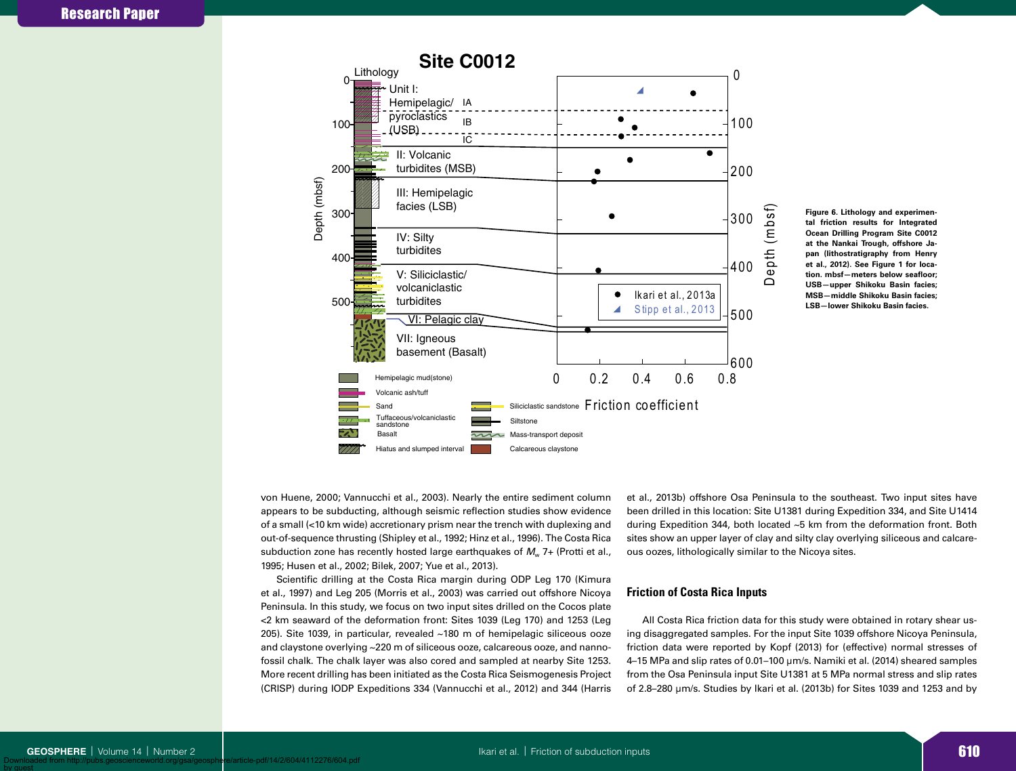

**Figure 6. Lithology and experimental friction results for Integrated Ocean Drilling Program Site C0012 at the Nankai Trough, offshore Japan (lithostratigraphy from Henry et al., 2012). See Figure 1 for location. mbsf—meters below seafloor; USB—upper Shikoku Basin facies; MSB—middle Shikoku Basin facies; LSB—lower Shikoku Basin facies.**

von Huene, 2000; Vannucchi et al., 2003). Nearly the entire sediment column appears to be subducting, although seismic reflection studies show evidence of a small (<10 km wide) accretionary prism near the trench with duplexing and out-of-sequence thrusting (Shipley et al., 1992; Hinz et al., 1996). The Costa Rica subduction zone has recently hosted large earthquakes of  $M_w$  7+ (Protti et al., 1995; Husen et al., 2002; Bilek, 2007; Yue et al., 2013).

Scientific drilling at the Costa Rica margin during ODP Leg 170 (Kimura et al., 1997) and Leg 205 (Morris et al., 2003) was carried out offshore Nicoya Peninsula. In this study, we focus on two input sites drilled on the Cocos plate <2 km seaward of the deformation front: Sites 1039 (Leg 170) and 1253 (Leg 205). Site 1039, in particular, revealed ~180 m of hemipelagic siliceous ooze and claystone overlying ~220 m of siliceous ooze, calcareous ooze, and nannofossil chalk. The chalk layer was also cored and sampled at nearby Site 1253. More recent drilling has been initiated as the Costa Rica Seismogenesis Project (CRISP) during IODP Expeditions 334 (Vannucchi et al., 2012) and 344 (Harris et al., 2013b) offshore Osa Peninsula to the southeast. Two input sites have been drilled in this location: Site U1381 during Expedition 334, and Site U1414 during Expedition 344, both located ~5 km from the deformation front. Both sites show an upper layer of clay and silty clay overlying siliceous and calcareous oozes, lithologically similar to the Nicoya sites.

# **Friction of Costa Rica Inputs**

All Costa Rica friction data for this study were obtained in rotary shear using disaggregated samples. For the input Site 1039 offshore Nicoya Peninsula, friction data were reported by Kopf (2013) for (effective) normal stresses of 4–15 MPa and slip rates of 0.01–100 µm/s. Namiki et al. (2014) sheared samples from the Osa Peninsula input Site U1381 at 5 MPa normal stress and slip rates of 2.8–280 µm/s. Studies by Ikari et al. (2013b) for Sites 1039 and 1253 and by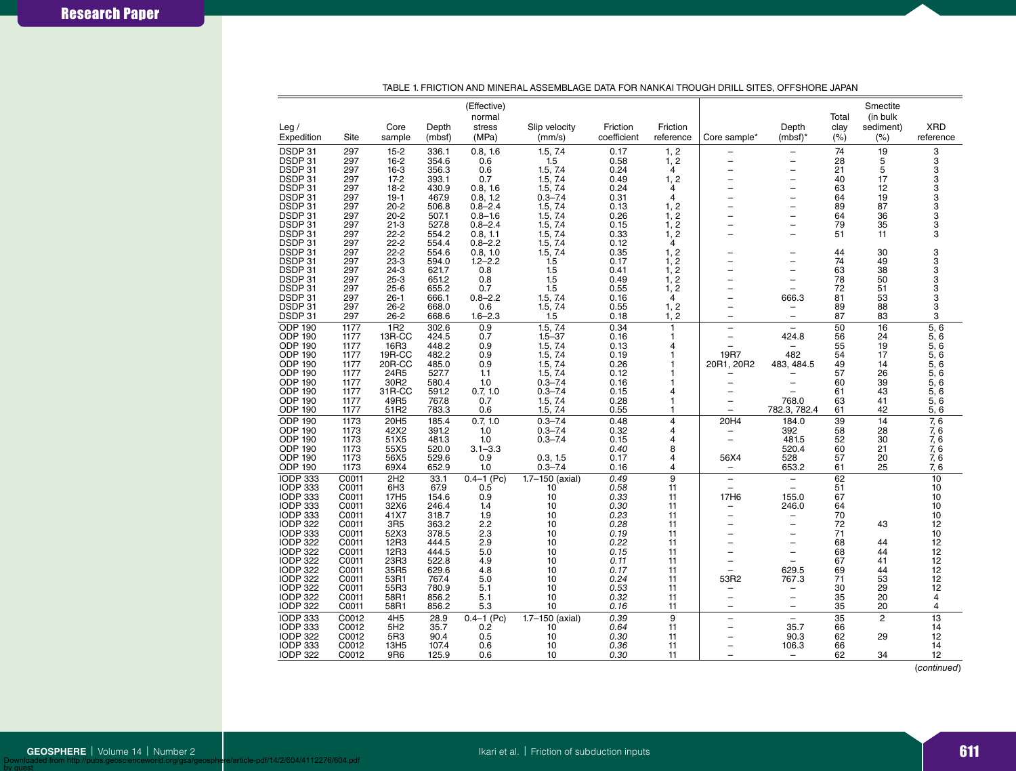| Leg/<br>Expedition | Site         | Core<br>sample   | Depth<br>(mbsf) | (Effective)<br>normal<br>stress<br>(MPa) | Slip velocity<br>(mm/s) | Friction<br>coefficient | Friction<br>reference | Core sample*             | Depth<br>$(mbsf)^*$      | Total<br>clay<br>(% ) | Smectite<br>(in bulk<br>sediment)<br>(%) | <b>XRD</b><br>reference    |
|--------------------|--------------|------------------|-----------------|------------------------------------------|-------------------------|-------------------------|-----------------------|--------------------------|--------------------------|-----------------------|------------------------------------------|----------------------------|
|                    |              |                  |                 |                                          |                         |                         |                       |                          |                          |                       |                                          |                            |
| DSDP 31            | 297          | $15 - 2$         | 336.1           | 0.8, 1.6                                 | 1.5.7.4                 | 0.17                    | 1, 2                  |                          |                          | 74                    | 19                                       | 3                          |
| DSDP 31            | 297          | $16 - 2$         | 354.6           | 0.6                                      | 1.5                     | 0.58                    | 1, 2                  | ÷                        | $\overline{\phantom{0}}$ | 28                    | 5                                        | 3                          |
| DSDP 31            | 297          | $16-3$           | 356.3           | 0.6                                      | 1.5, 7.4                | 0.24                    | 4                     |                          |                          | 21                    | 5                                        | 3                          |
| DSDP 31            | 297          | $17-2$           | 393.1           | 0.7                                      | 1.5, 7.4                | 0.49                    | 1, 2                  |                          |                          | 40                    | 17                                       | 3                          |
| DSDP 31            | 297          | $18-2$           | 430.9           | 0.8, 1.6                                 | 1.5, 7.4                | 0.24                    | 4                     |                          |                          | 63                    | 12                                       |                            |
| DSDP 31            | 297          | $19-1$           | 467.9           | 0.8, 1.2                                 | $0.3 - 7.4$             | 0.31                    | 4                     | $\overline{\phantom{0}}$ | L.                       | 64                    | 19                                       |                            |
| DSDP 31            | 297          | $20 - 2$         | 506.8           | $0.8 - 2.4$                              | 1.5, 7.4                | 0.13                    | 1, 2                  |                          |                          | 89                    | 87                                       | 3<br>3<br>3<br>3           |
| DSDP 31            | 297          | $20 - 2$         | 507.1           | $0.8 - 1.6$                              | 1.5, 7.4                | 0.26                    | 1, 2                  |                          |                          | 64                    | 36                                       |                            |
| DSDP 31            | 297          | $21-3$           | 527.8           | $0.8 - 2.4$                              | 1.5, 7.4                | 0.15                    | 1, 2                  |                          | L,                       | 79                    | 35                                       | 3                          |
| DSDP 31            | 297          | $22 - 2$         | 554.2           | 0.8, 1.1                                 | 1.5, 7.4                | 0.33                    | 1, 2                  |                          |                          | 51                    | 11                                       | 3                          |
| DSDP 31            | 297          | $22 - 2$         | 554.4           | $0.8 - 2.2$                              | 1.5, 7.4                | 0.12                    | 4                     |                          |                          |                       |                                          |                            |
| DSDP 31            | 297          | $22 - 2$         | 554.6           | 0.8.10                                   | 1.5.7.4                 | 0.35                    | 1, 2                  |                          |                          | 44                    | 30                                       |                            |
| DSDP 31            | 297          | $23-3$           | 594.0           | $1.2 - 2.2$                              | 1.5                     | 0.17                    | $\frac{1}{1}$ , 2     |                          | -                        | 74                    | 49                                       | 3<br>3<br>3                |
| DSDP 31            | 297          | $24 - 3$         | 621.7           | 0.8                                      | 1.5                     | 0.41                    |                       |                          |                          | 63                    | 38                                       |                            |
| DSDP 31            | 297          | $25 - 3$         | 651.2           | 0.8                                      | 1.5                     | 0.49                    | 1, 2                  |                          |                          | 78                    | 50                                       | 3                          |
| DSDP 31            | 297          | $25 - 6$         | 655.2           | 0.7                                      | 1.5                     | 0.55                    | 1, 2                  |                          |                          | 72                    | 51                                       |                            |
| DSDP 31            | 297          | $26 - 1$         | 666.1           | $0.8 - 2.2$                              | 1.5, 7.4                | 0.16                    | 4                     |                          | 666.3                    | 81                    | 53                                       | 3<br>3                     |
| DSDP 31            | 297          | $26 - 2$         | 668.0           | 0.6                                      | 1.5, 7.4                | 0.55                    | 1, 2                  | $\overline{\phantom{0}}$ | -                        | 89                    | 88                                       | 3                          |
| DSDP 31            | 297          | $26 - 2$         | 668.6           | $1.6 - 2.3$                              | 1.5                     | 0.18                    | 1, 2                  | Ē,                       | $\overline{\phantom{m}}$ | 87                    | 83                                       | 3                          |
| <b>ODP 190</b>     | 1177         | 1 <sub>R2</sub>  | 302.6           | 0.9                                      | 1.5, 7.4                | 0.34                    | 1                     |                          | L                        | 50                    | 16                                       | 5, 6                       |
| <b>ODP 190</b>     | 1177         | 13R-CC           | 424.5           | 0.7                                      | $1.5 - 37$              | 0.16                    | 1                     | L,                       | 424.8                    | 56                    | 24                                       | 5,6                        |
| <b>ODP 190</b>     | 1177         | 16R3             | 448.2           | 0.9                                      | 1.5, 7.4                | 0.13                    | 4                     |                          |                          | 55                    | 19                                       | 5, 6                       |
| <b>ODP 190</b>     | 1177         | 19R-CC           | 482.2           | 0.9                                      | 1.5, 7.4                | 0.19                    | 1                     | 19 <sub>R7</sub>         | 482                      | 54                    | 17                                       | 5, 6                       |
| <b>ODP 190</b>     | 1177         | 20R-CC           | 485.0           | 0.9                                      | 1.5, 7.4                | 0.26                    |                       | 20R1, 20R2               | 483, 484.5               | 49                    | 14                                       | 5,6                        |
| <b>ODP 190</b>     | 1177         | 24R5             | 527.7           | 1.1                                      | 1.5.7.4                 | 0.12                    |                       |                          |                          | 57                    | 26                                       | 5,6                        |
| <b>ODP 190</b>     | 1177         | 30R2             | 580.4           | 1.0                                      | $0.3 - 7.4$             | 0.16                    | 1                     |                          |                          | 60                    | 39                                       | 5,6                        |
| <b>ODP 190</b>     |              | 31R-CC           | 591.2           | 0.7, 1.0                                 | $0.3 - 7.4$             | 0.15                    | 4                     |                          |                          | 61                    | 43                                       | 5,6                        |
| <b>ODP 190</b>     | 1177<br>1177 | 49R5             | 767.8           |                                          |                         | 0.28                    | 1                     |                          | 768.0                    | 63                    | 41                                       |                            |
|                    |              |                  |                 | 0.7                                      | 1.5, 7.4                |                         | 1                     | L,                       |                          |                       | 42                                       | 5,6                        |
| <b>ODP 190</b>     | 1177         | 51R2             | 783.3           | 0.6                                      | 1.5, 7.4                | 0.55                    |                       |                          | 782.3, 782.4             | 61                    |                                          | 5, 6                       |
| <b>ODP 190</b>     | 1173         | 20H5             | 185.4           | 0.7, 1.0                                 | $0.3 - 7.4$             | 0.48                    | 4                     | 20H4                     | 184.0                    | 39                    | 14                                       | 7,6                        |
| <b>ODP 190</b>     | 1173         | 42X2             | 391.2           | 1.0                                      | $0.3 - 7.4$             | 0.32                    | 4                     | -                        | 392                      | 58                    | 28                                       | 7, 6                       |
| <b>ODP 190</b>     | 1173         | 51X5             | 481.3           | 1.0                                      | $0.3 - 7.4$             | 0.15                    | 4                     | $\overline{a}$           | 481.5                    | 52                    | 30                                       | 7, 6                       |
| <b>ODP 190</b>     | 1173         | 55X5             | 520.0           | $3.1 - 3.3$                              |                         | 0.40                    | 8                     |                          | 520.4                    | 60                    | 21                                       | 7, 6                       |
| <b>ODP 190</b>     | 1173         | 56X5             | 529.6           | 0.9                                      | 0.3, 1.5                | 0.17                    | 4                     | 56X4                     | 528                      | 57                    | 20                                       | 7, 6                       |
| <b>ODP 190</b>     | 1173         | 69X4             | 652.9           | 1.0                                      | $0.3 - 7.4$             | 0.16                    | 4                     | $\qquad \qquad -$        | 653.2                    | 61                    | 25                                       | 7, 6                       |
| <b>IODP 333</b>    | C0011        | 2H2              | 33.1            | $0.4 - 1$ (Pc)                           | 1.7-150 (axial)         | 0.49                    | $\overline{9}$        | $\overline{\phantom{0}}$ | $\overline{\phantom{0}}$ | 62                    |                                          | 10                         |
| <b>IODP 333</b>    | C0011        | 6H <sub>3</sub>  | 67.9            | 0.5                                      | 10                      | 0.58                    | 11                    | $\overline{\phantom{0}}$ |                          | 51                    |                                          | 10                         |
| <b>IODP 333</b>    | C0011        | 17H <sub>5</sub> | 154.6           | 0.9                                      | 10                      | 0.33                    | 11                    | 17H6                     | 155.0                    | 67                    |                                          | 10                         |
| <b>IODP 333</b>    | C0011        | 32X6             | 246.4           | 1.4                                      | 10                      | 0.30                    | 11                    | $\overline{\phantom{0}}$ | 246.0                    | 64                    |                                          | 10                         |
| <b>IODP 333</b>    | C0011        | 41X7             | 318.7           | 1.9                                      | 10                      | 0.23                    | 11                    | $\overline{\phantom{0}}$ |                          | 70                    |                                          | 10                         |
| <b>IODP 322</b>    | C0011        | 3R <sub>5</sub>  | 363.2           | 2.2                                      | 10                      | 0.28                    | 11                    |                          | $\overline{\phantom{0}}$ | 72                    | 43                                       | 12                         |
| <b>IODP 333</b>    | C0011        | 52X3             | 378.5           | 2.3                                      | 10                      | 0.19                    | 11                    |                          |                          | 71                    |                                          | 10                         |
| <b>IODP 322</b>    | C0011        | 12R3             | 444.5           | 2.9                                      | 10                      | 0.22                    | 11                    |                          |                          | 68                    | 44                                       |                            |
| <b>IODP 322</b>    | C0011        | 12R3             | 444.5           | 5.0                                      | 10                      | 0.15                    | 11                    |                          | $\overline{\phantom{0}}$ | 68                    | 44                                       |                            |
| <b>IODP 322</b>    | C0011        | 23R3             | 522.8           | 4.9                                      | 10                      | 0.11                    | 11                    | $\overline{\phantom{0}}$ |                          | 67                    | 41                                       |                            |
| <b>IODP 322</b>    | C0011        | 35R5             | 629.6           | 4.8                                      | 10                      | 0.17                    | 11                    |                          | 629.5                    | 69                    | 44                                       |                            |
| <b>IODP 322</b>    | C0011        | 53R1             | 767.4           | 5.0                                      | 10                      | 0.24                    | 11                    | 53R2                     | 767.3                    | 71                    | 53                                       | 12<br>12<br>12<br>12<br>12 |
| <b>IODP 322</b>    | C0011        | 55R3             | 780.9           | 5.1                                      | 10                      | 0.53                    | 11                    | -                        |                          | 30                    | 29                                       | 12                         |
| <b>IODP 322</b>    | C0011        | 58R1             | 856.2           | 5.1                                      | 10                      | 0.32                    | 11                    | $\overline{\phantom{0}}$ | $\overline{\phantom{0}}$ | 35                    | 20                                       | 4                          |
| <b>IODP 322</b>    | C0011        | 58R1             | 856.2           | 5.3                                      | 10                      | 0.16                    | 11                    | $=$                      | $=$                      | 35                    | 20                                       | $\overline{4}$             |
| <b>IODP 333</b>    | C0012        | 4H <sub>5</sub>  | 28.9            | $0.4 - 1$ (Pc)                           | $1.7 - 150$ (axial)     | 0.39                    | 9                     | -                        |                          | 35                    | $\overline{c}$                           | $\overline{13}$            |
| <b>IODP 333</b>    | C0012        | 5H <sub>2</sub>  | 35.7            | 0.2                                      | 10                      | 0.64                    | 11                    | $\overline{\phantom{0}}$ | 35.7                     | 66                    |                                          | 14                         |
| <b>IODP 322</b>    | C0012        | 5R3              | 90.4            | 0.5                                      | 10                      | 0.30                    | 11                    | L,                       | 90.3                     | 62                    | 29                                       | 12                         |
| <b>IODP 333</b>    | C0012        | 13H <sub>5</sub> | 107.4           | 0.6                                      | 10                      | 0.36                    | 11                    | $\overline{\phantom{0}}$ | 106.3                    | 66                    |                                          | 14                         |
| <b>IODP 322</b>    |              |                  |                 |                                          | 10                      | 0.30                    | 11                    |                          |                          | 62                    | 34                                       | 12                         |
|                    | C0012        | 9R6              | 125.9           | 0.6                                      |                         |                         |                       |                          |                          |                       |                                          |                            |

TABLE 1. FRICTION AND MINERAL ASSEMBLAGE DATA FOR NANKAI TROUGH DRILL SITES, OFFSHORE JAPAN

(*continued*)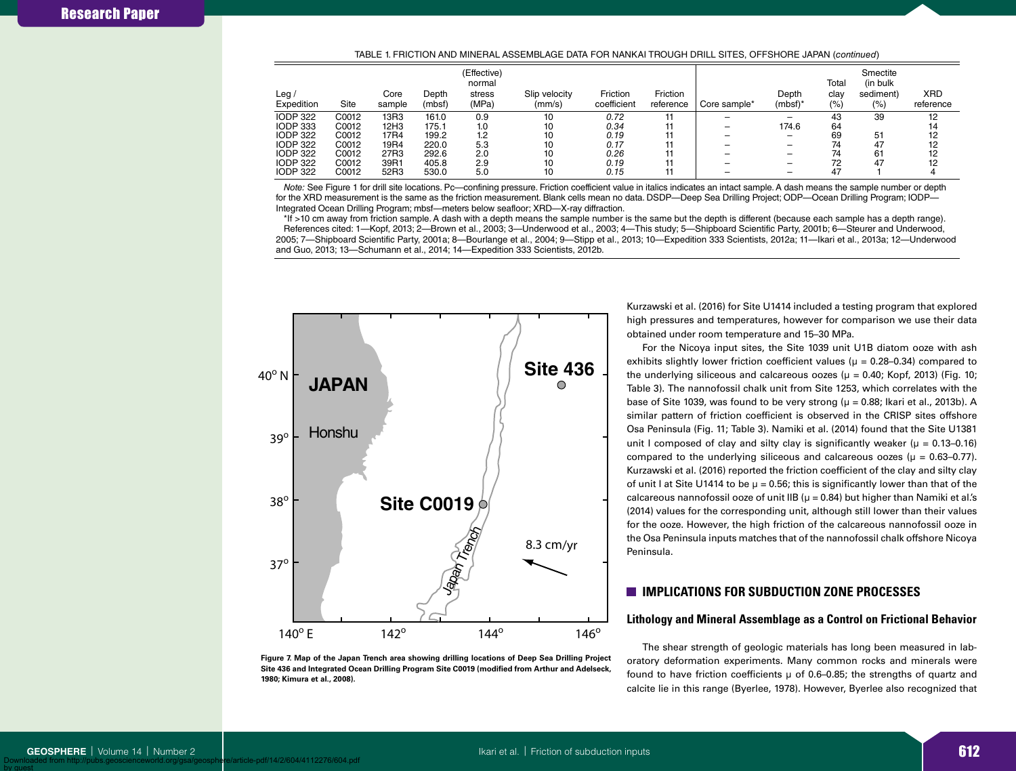#### TABLE 1. FRICTION AND MINERAL ASSEMBLAGE DATA FOR NANKAI TROUGH DRILL SITES, OFFSHORE JAPAN (*continued*)

| Leg $\prime$                                          |                         | Core                 | Depth                   | (Effective)<br>normal<br>stress | Slip velocity  | Friction             | Friction  |              | Depth                             | Total<br>clay  | Smectite<br>(in bulk)<br>sediment) | <b>XRD</b>     |
|-------------------------------------------------------|-------------------------|----------------------|-------------------------|---------------------------------|----------------|----------------------|-----------|--------------|-----------------------------------|----------------|------------------------------------|----------------|
| Expedition                                            | Site                    | sample               | (mbsf)                  | (MPa)                           | (mm/s)         | coefficient          | reference | Core sample* | $(mbf)^*$                         | (% )           | (%)                                | reference      |
| <b>IODP 322</b><br><b>IODP 333</b>                    | C0012<br>C0012          | 13R3<br>12H3         | 161.0<br>175.1          | 0.9<br>1.0                      | 10<br>10       | 0.72<br>0.34         |           | _            | $\overline{\phantom{0}}$<br>174.6 | 43<br>64       | 39                                 | 12<br>14       |
| <b>IODP 322</b><br><b>IODP 322</b><br><b>IODP 322</b> | C0012<br>C0012<br>C0012 | 17R4<br>19R4<br>27R3 | 199.2<br>220.0<br>292.6 | 1.2<br>5.3<br>2.0               | 10<br>10<br>10 | 0.19<br>0.17<br>0.26 |           | -            | -                                 | 69<br>74<br>74 | 51<br>47<br>61                     | 12<br>12<br>12 |
| <b>IODP 322</b><br><b>IODP 322</b>                    | C0012<br>C0012          | 39R1<br>52R3         | 405.8<br>530.0          | 2.9<br>5.0                      | 10<br>10       | 0.19<br>0.15         |           |              | -<br>-                            | 72<br>47       | 47                                 | 12             |

*Note:* See Figure 1 for drill site locations. Pc—confining pressure. Friction coefficient value in italics indicates an intact sample. A dash means the sample number or depth for the XRD measurement is the same as the friction measurement. Blank cells mean no data. DSDP—Deep Sea Drilling Project; ODP—Ocean Drilling Program; IODP— Integrated Ocean Drilling Program; mbsf—meters below seafloor; XRD—X-ray diffraction.

\*If >10 cm away from friction sample. A dash with a depth means the sample number is the same but the depth is different (because each sample has a depth range). References cited: 1—Kopf, 2013; 2—Brown et al., 2003; 3—Underwood et al., 2003; 4—This study; 5—Shipboard Scientific Party, 2001b; 6—Steurer and Underwood, 2005; 7—Shipboard Scientific Party, 2001a; 8—Bourlange et al., 2004; 9—Stipp et al., 2013; 10—Expedition 333 Scientists, 2012a; 11—Ikari et al., 2013a; 12—Underwood and Guo, 2013; 13—Schumann et al., 2014; 14—Expedition 333 Scientists, 2012b.



**Figure 7. Map of the Japan Trench area showing drilling locations of Deep Sea Drilling Project Site 436 and Integrated Ocean Drilling Program Site C0019 (modified from Arthur and Adelseck, 1980; Kimura et al., 2008).**

Kurzawski et al. (2016) for Site U1414 included a testing program that explored high pressures and temperatures, however for comparison we use their data obtained under room temperature and 15–30 MPa.

For the Nicoya input sites, the Site 1039 unit U1B diatom ooze with ash exhibits slightly lower friction coefficient values ( $\mu$  = 0.28–0.34) compared to the underlying siliceous and calcareous oozes ( $\mu$  = 0.40; Kopf, 2013) (Fig. 10; Table 3). The nannofossil chalk unit from Site 1253, which correlates with the base of Site 1039, was found to be very strong ( $\mu$  = 0.88; Ikari et al., 2013b). A similar pattern of friction coefficient is observed in the CRISP sites offshore Osa Peninsula (Fig. 11; Table 3). Namiki et al. (2014) found that the Site U1381 unit I composed of clay and silty clay is significantly weaker ( $\mu = 0.13{\text -}0.16$ ) compared to the underlying siliceous and calcareous oozes ( $\mu = 0.63-0.77$ ). Kurzawski et al. (2016) reported the friction coefficient of the clay and silty clay of unit I at Site U1414 to be  $\mu$  = 0.56; this is significantly lower than that of the calcareous nannofossil ooze of unit IIB ( $\mu$  = 0.84) but higher than Namiki et al.'s (2014) values for the corresponding unit, although still lower than their values for the ooze. However, the high friction of the calcareous nannofossil ooze in the Osa Peninsula inputs matches that of the nannofossil chalk offshore Nicoya Peninsula.

# **IMPLICATIONS FOR SUBDUCTION ZONE PROCESSES**

## **Lithology and Mineral Assemblage as a Control on Frictional Behavior**

The shear strength of geologic materials has long been measured in laboratory deformation experiments. Many common rocks and minerals were found to have friction coefficients  $\mu$  of 0.6–0.85; the strengths of quartz and calcite lie in this range (Byerlee, 1978). However, Byerlee also recognized that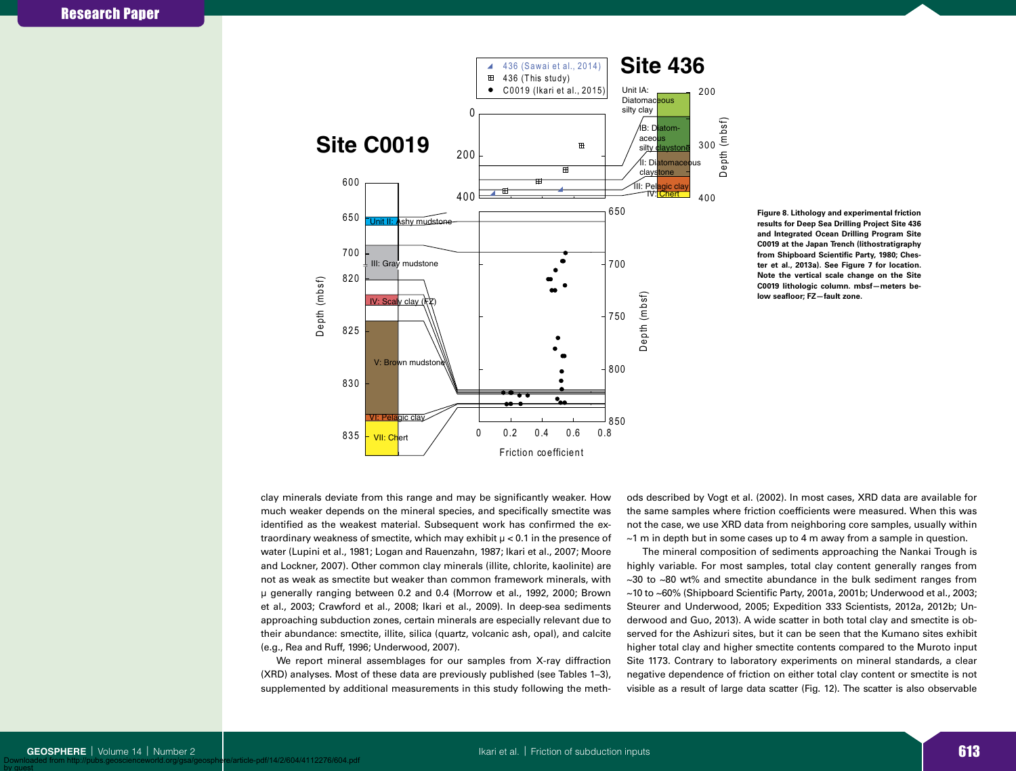



clay minerals deviate from this range and may be significantly weaker. How much weaker depends on the mineral species, and specifically smectite was identified as the weakest material. Subsequent work has confirmed the extraordinary weakness of smectite, which may exhibit  $\mu$  < 0.1 in the presence of water (Lupini et al., 1981; Logan and Rauenzahn, 1987; Ikari et al., 2007; Moore and Lockner, 2007). Other common clay minerals (illite, chlorite, kaolinite) are not as weak as smectite but weaker than common framework minerals, with µ generally ranging between 0.2 and 0.4 (Morrow et al., 1992, 2000; Brown et al., 2003; Crawford et al., 2008; Ikari et al., 2009). In deep-sea sediments approaching subduction zones, certain minerals are especially relevant due to their abundance: smectite, illite, silica (quartz, volcanic ash, opal), and calcite (e.g., Rea and Ruff, 1996; Underwood, 2007).

We report mineral assemblages for our samples from X-ray diffraction (XRD) analyses. Most of these data are previously published (see Tables 1–3), supplemented by additional measurements in this study following the methods described by Vogt et al. (2002). In most cases, XRD data are available for the same samples where friction coefficients were measured. When this was not the case, we use XRD data from neighboring core samples, usually within  $\sim$ 1 m in depth but in some cases up to 4 m away from a sample in question.

The mineral composition of sediments approaching the Nankai Trough is highly variable. For most samples, total clay content generally ranges from  $\sim$ 30 to  $\sim$ 80 wt% and smectite abundance in the bulk sediment ranges from ~10 to ~60% (Shipboard Scientific Party, 2001a, 2001b; Underwood et al., 2003; Steurer and Underwood, 2005; Expedition 333 Scientists, 2012a, 2012b; Underwood and Guo, 2013). A wide scatter in both total clay and smectite is observed for the Ashizuri sites, but it can be seen that the Kumano sites exhibit higher total clay and higher smectite contents compared to the Muroto input Site 1173. Contrary to laboratory experiments on mineral standards, a clear negative dependence of friction on either total clay content or smectite is not visible as a result of large data scatter (Fig. 12). The scatter is also observable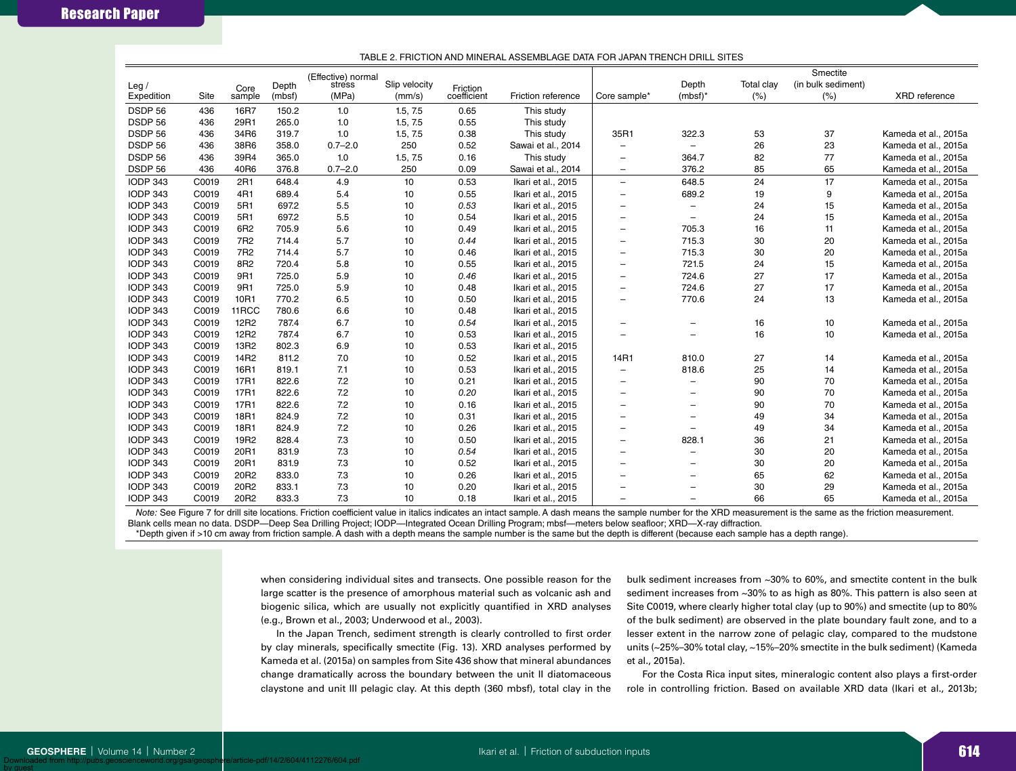|                    |       |                   | Depth  | (Effective) normal<br>stress | Slip velocity |                         |                    |                          | Depth                    | Total clay | Smectite<br>(in bulk sediment) |                      |
|--------------------|-------|-------------------|--------|------------------------------|---------------|-------------------------|--------------------|--------------------------|--------------------------|------------|--------------------------------|----------------------|
| Leg/<br>Expedition | Site  | Core<br>sample    | (mbsf) | (MPa)                        | (mm/s)        | Friction<br>coefficient | Friction reference | Core sample*             | $(mbf)^*$                | (%)        | (%)                            | XRD reference        |
| DSDP 56            | 436   | 16R7              | 150.2  | 1.0                          | 1.5, 7.5      | 0.65                    | This study         |                          |                          |            |                                |                      |
| DSDP 56            | 436   | 29R1              | 265.0  | 1.0                          | 1.5, 7.5      | 0.55                    | This study         |                          |                          |            |                                |                      |
| DSDP 56            | 436   | 34R6              | 319.7  | 1.0                          | 1.5, 7.5      | 0.38                    | This study         | 35R1                     | 322.3                    | 53         | 37                             | Kameda et al., 2015a |
| DSDP 56            | 436   | 38R6              | 358.0  | $0.7 - 2.0$                  | 250           | 0.52                    | Sawai et al., 2014 |                          | -                        | 26         | 23                             | Kameda et al., 2015a |
| DSDP 56            | 436   | 39R4              | 365.0  | 1.0                          | 1.5, 7.5      | 0.16                    | This study         | $\overline{\phantom{a}}$ | 364.7                    | 82         | 77                             | Kameda et al., 2015a |
| DSDP 56            | 436   | 40R6              | 376.8  | $0.7 - 2.0$                  | 250           | 0.09                    | Sawai et al., 2014 | $\overline{\phantom{0}}$ | 376.2                    | 85         | 65                             | Kameda et al., 2015a |
| <b>IODP 343</b>    | C0019 | 2R1               | 648.4  | 4.9                          | 10            | 0.53                    | Ikari et al., 2015 | $\qquad \qquad -$        | 648.5                    | 24         | 17                             | Kameda et al., 2015a |
| <b>IODP 343</b>    | C0019 | 4R1               | 689.4  | 5.4                          | 10            | 0.55                    | Ikari et al., 2015 |                          | 689.2                    | 19         | 9                              | Kameda et al., 2015a |
| <b>IODP 343</b>    | C0019 | 5R1               | 697.2  | 5.5                          | 10            | 0.53                    | Ikari et al., 2015 |                          | $\equiv$                 | 24         | 15                             | Kameda et al., 2015a |
| <b>IODP 343</b>    | C0019 | 5R1               | 697.2  | 5.5                          | 10            | 0.54                    | Ikari et al., 2015 |                          | $\overline{\phantom{0}}$ | 24         | 15                             | Kameda et al., 2015a |
| <b>IODP 343</b>    | C0019 | 6 <sub>R2</sub>   | 705.9  | 5.6                          | 10            | 0.49                    | Ikari et al., 2015 |                          | 705.3                    | 16         | 11                             | Kameda et al., 2015a |
| <b>IODP 343</b>    | C0019 | 7R <sub>2</sub>   | 714.4  | 5.7                          | 10            | 0.44                    | Ikari et al., 2015 |                          | 715.3                    | 30         | 20                             | Kameda et al., 2015a |
| <b>IODP 343</b>    | C0019 | 7R <sub>2</sub>   | 714.4  | 5.7                          | 10            | 0.46                    | Ikari et al., 2015 |                          | 715.3                    | 30         | 20                             | Kameda et al., 2015a |
| <b>IODP 343</b>    | C0019 | 8R2               | 720.4  | 5.8                          | 10            | 0.55                    | Ikari et al., 2015 |                          | 721.5                    | 24         | 15                             | Kameda et al., 2015a |
| <b>IODP 343</b>    | C0019 | 9R1               | 725.0  | 5.9                          | 10            | 0.46                    | Ikari et al., 2015 |                          | 724.6                    | 27         | 17                             | Kameda et al., 2015a |
| <b>IODP 343</b>    | C0019 | 9R1               | 725.0  | 5.9                          | 10            | 0.48                    | Ikari et al., 2015 |                          | 724.6                    | 27         | 17                             | Kameda et al., 2015a |
| <b>IODP 343</b>    | C0019 | 10R1              | 770.2  | 6.5                          | 10            | 0.50                    | Ikari et al., 2015 |                          | 770.6                    | 24         | 13                             | Kameda et al., 2015a |
| <b>IODP 343</b>    | C0019 | 11 <sub>RCC</sub> | 780.6  | 6.6                          | 10            | 0.48                    | Ikari et al., 2015 |                          |                          |            |                                |                      |
| <b>IODP 343</b>    | C0019 | 12R2              | 787.4  | 6.7                          | 10            | 0.54                    | Ikari et al., 2015 |                          |                          | 16         | 10                             | Kameda et al., 2015a |
| <b>IODP 343</b>    | C0019 | 12R2              | 787.4  | 6.7                          | 10            | 0.53                    | Ikari et al., 2015 |                          |                          | 16         | 10                             | Kameda et al., 2015a |
| <b>IODP 343</b>    | C0019 | 13R2              | 802.3  | 6.9                          | 10            | 0.53                    | Ikari et al., 2015 |                          |                          |            |                                |                      |
| <b>IODP 343</b>    | C0019 | 14 <sub>R2</sub>  | 811.2  | 7.0                          | 10            | 0.52                    | Ikari et al., 2015 | 14R1                     | 810.0                    | 27         | 14                             | Kameda et al., 2015a |
| <b>IODP 343</b>    | C0019 | 16R1              | 819.1  | 7.1                          | 10            | 0.53                    | Ikari et al., 2015 |                          | 818.6                    | 25         | 14                             | Kameda et al., 2015a |
| <b>IODP 343</b>    | C0019 | 17R1              | 822.6  | 7.2                          | 10            | 0.21                    | Ikari et al., 2015 | $\overline{\phantom{0}}$ | $\overline{\phantom{0}}$ | 90         | 70                             | Kameda et al., 2015a |
| <b>IODP 343</b>    | C0019 | 17R1              | 822.6  | 7.2                          | 10            | 0.20                    | Ikari et al., 2015 | $\overline{\phantom{0}}$ | $\equiv$                 | 90         | 70                             | Kameda et al., 2015a |
| <b>IODP 343</b>    | C0019 | 17R1              | 822.6  | 7.2                          | 10            | 0.16                    | Ikari et al., 2015 |                          | $\equiv$                 | 90         | 70                             | Kameda et al., 2015a |
| <b>IODP 343</b>    | C0019 | 18R1              | 824.9  | 7.2                          | 10            | 0.31                    | Ikari et al., 2015 |                          | $\overline{\phantom{0}}$ | 49         | 34                             | Kameda et al., 2015a |
| <b>IODP 343</b>    | C0019 | 18R1              | 824.9  | 7.2                          | 10            | 0.26                    | Ikari et al., 2015 |                          |                          | 49         | 34                             | Kameda et al., 2015a |
| <b>IODP 343</b>    | C0019 | 19 <sub>R2</sub>  | 828.4  | 7.3                          | 10            | 0.50                    | Ikari et al., 2015 | $\overline{\phantom{0}}$ | 828.1                    | 36         | 21                             | Kameda et al., 2015a |
| <b>IODP 343</b>    | C0019 | 20R1              | 831.9  | 7.3                          | 10            | 0.54                    | Ikari et al., 2015 |                          |                          | 30         | 20                             | Kameda et al., 2015a |
| <b>IODP 343</b>    | C0019 | 20R1              | 831.9  | 7.3                          | 10            | 0.52                    | Ikari et al., 2015 |                          |                          | 30         | 20                             | Kameda et al., 2015a |
| <b>IODP 343</b>    | C0019 | 20R2              | 833.0  | 7.3                          | 10            | 0.26                    | Ikari et al., 2015 |                          |                          | 65         | 62                             | Kameda et al., 2015a |
| <b>IODP 343</b>    | C0019 | 20R2              | 833.1  | 7.3                          | 10            | 0.20                    | Ikari et al., 2015 |                          |                          | 30         | 29                             | Kameda et al., 2015a |
| <b>IODP 343</b>    | C0019 | 20R2              | 833.3  | 7.3                          | 10            | 0.18                    | Ikari et al., 2015 |                          |                          | 66         | 65                             | Kameda et al., 2015a |

#### TABLE 2. FRICTION AND MINERAL ASSEMBLAGE DATA FOR JAPAN TRENCH DRILL SITES

*Note:* See Figure 7 for drill site locations. Friction coefficient value in italics indicates an intact sample. A dash means the sample number for the XRD measurement is the same as the friction measurement. Blank cells mean no data. DSDP—Deep Sea Drilling Project; IODP—Integrated Ocean Drilling Program; mbsf—meters below seafloor; XRD—X-ray diffraction.

\*Depth given if >10 cm away from friction sample. A dash with a depth means the sample number is the same but the depth is different (because each sample has a depth range).

when considering individual sites and transects. One possible reason for the large scatter is the presence of amorphous material such as volcanic ash and biogenic silica, which are usually not explicitly quantified in XRD analyses (e.g., Brown et al., 2003; Underwood et al., 2003).

In the Japan Trench, sediment strength is clearly controlled to first order by clay minerals, specifically smectite (Fig. 13). XRD analyses performed by Kameda et al. (2015a) on samples from Site 436 show that mineral abundances change dramatically across the boundary between the unit II diatomaceous claystone and unit III pelagic clay. At this depth (360 mbsf), total clay in the bulk sediment increases from ~30% to 60%, and smectite content in the bulk sediment increases from ~30% to as high as 80%. This pattern is also seen at Site C0019, where clearly higher total clay (up to 90%) and smectite (up to 80% of the bulk sediment) are observed in the plate boundary fault zone, and to a lesser extent in the narrow zone of pelagic clay, compared to the mudstone units (~25%–30% total clay, ~15%–20% smectite in the bulk sediment) (Kameda et al., 2015a).

For the Costa Rica input sites, mineralogic content also plays a first-order role in controlling friction. Based on available XRD data (Ikari et al., 2013b;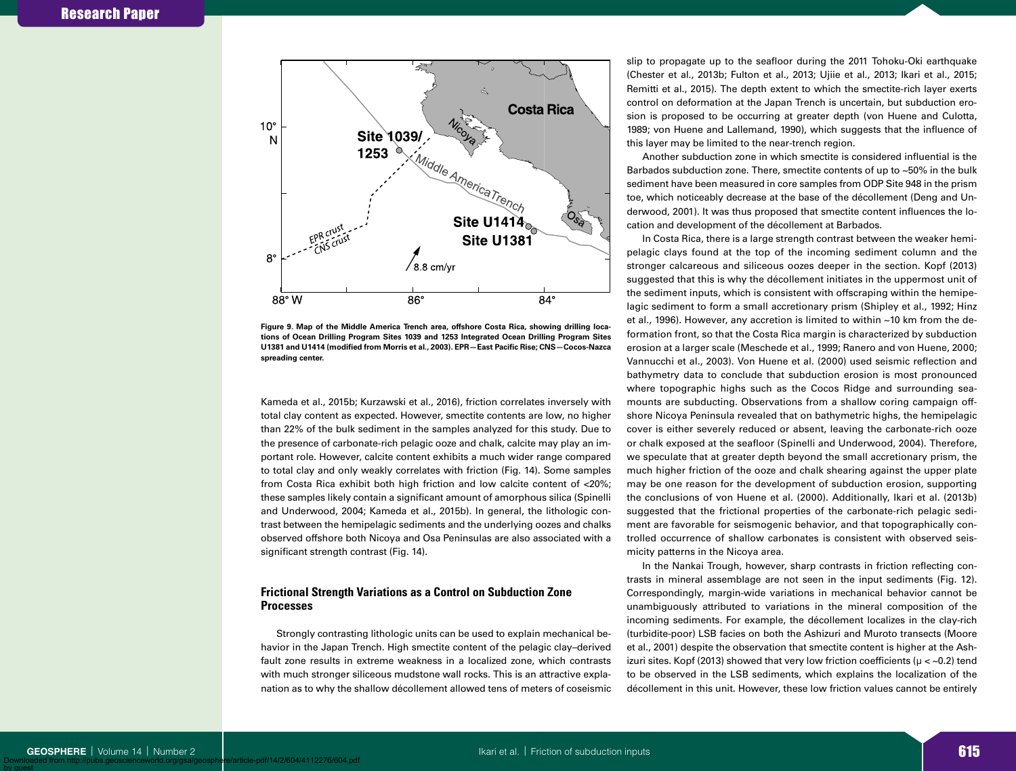

**Figure 9. Map of the Middle America Trench area, offshore Costa Rica, showing drilling locations of Ocean Drilling Program Sites 1039 and 1253 Integrated Ocean Drilling Program Sites U1381 and U1414 (modified from Morris et al., 2003). EPR—East Pacific Rise; CNS—Cocos-Nazca spreading center.**

Kameda et al., 2015b; Kurzawski et al., 2016), friction correlates inversely with total clay content as expected. However, smectite contents are low, no higher than 22% of the bulk sediment in the samples analyzed for this study. Due to the presence of carbonate-rich pelagic ooze and chalk, calcite may play an important role. However, calcite content exhibits a much wider range compared to total clay and only weakly correlates with friction (Fig. 14). Some samples from Costa Rica exhibit both high friction and low calcite content of <20%; these samples likely contain a significant amount of amorphous silica (Spinelli and Underwood, 2004; Kameda et al., 2015b). In general, the lithologic contrast between the hemipelagic sediments and the underlying oozes and chalks observed offshore both Nicoya and Osa Peninsulas are also associated with a significant strength contrast (Fig. 14).

# **Frictional Strength Variations as a Control on Subduction Zone Processes**

Strongly contrasting lithologic units can be used to explain mechanical behavior in the Japan Trench. High smectite content of the pelagic clay–derived fault zone results in extreme weakness in a localized zone, which contrasts with much stronger siliceous mudstone wall rocks. This is an attractive explanation as to why the shallow décollement allowed tens of meters of coseismic slip to propagate up to the seafloor during the 2011 Tohoku-Oki earthquake (Chester et al., 2013b; Fulton et al., 2013; Ujiie et al., 2013; Ikari et al., 2015; Remitti et al., 2015). The depth extent to which the smectite-rich layer exerts control on deformation at the Japan Trench is uncertain, but subduction erosion is proposed to be occurring at greater depth (von Huene and Culotta, 1989; von Huene and Lallemand, 1990), which suggests that the influence of this layer may be limited to the near-trench region.

Another subduction zone in which smectite is considered influential is the Barbados subduction zone. There, smectite contents of up to ~50% in the bulk sediment have been measured in core samples from ODP Site 948 in the prism toe, which noticeably decrease at the base of the décollement (Deng and Underwood, 2001). It was thus proposed that smectite content influences the location and development of the décollement at Barbados.

In Costa Rica, there is a large strength contrast between the weaker hemipelagic clays found at the top of the incoming sediment column and the stronger calcareous and siliceous oozes deeper in the section. Kopf (2013) suggested that this is why the décollement initiates in the uppermost unit of the sediment inputs, which is consistent with offscraping within the hemipelagic sediment to form a small accretionary prism (Shipley et al., 1992; Hinz et al., 1996). However, any accretion is limited to within ~10 km from the deformation front, so that the Costa Rica margin is characterized by subduction erosion at a larger scale (Meschede et al., 1999; Ranero and von Huene, 2000; Vannucchi et al., 2003). Von Huene et al. (2000) used seismic reflection and bathymetry data to conclude that subduction erosion is most pronounced where topographic highs such as the Cocos Ridge and surrounding seamounts are subducting. Observations from a shallow coring campaign offshore Nicoya Peninsula revealed that on bathymetric highs, the hemipelagic cover is either severely reduced or absent, leaving the carbonate-rich ooze or chalk exposed at the seafloor (Spinelli and Underwood, 2004). Therefore, we speculate that at greater depth beyond the small accretionary prism, the much higher friction of the ooze and chalk shearing against the upper plate may be one reason for the development of subduction erosion, supporting the conclusions of von Huene et al. (2000). Additionally, Ikari et al. (2013b) suggested that the frictional properties of the carbonate-rich pelagic sediment are favorable for seismogenic behavior, and that topographically controlled occurrence of shallow carbonates is consistent with observed seismicity patterns in the Nicoya area.

In the Nankai Trough, however, sharp contrasts in friction reflecting contrasts in mineral assemblage are not seen in the input sediments (Fig. 12). Correspondingly, margin-wide variations in mechanical behavior cannot be unambiguously attributed to variations in the mineral composition of the incoming sediments. For example, the décollement localizes in the clay-rich (turbidite-poor) LSB facies on both the Ashizuri and Muroto transects (Moore et al., 2001) despite the observation that smectite content is higher at the Ashizuri sites. Kopf (2013) showed that very low friction coefficients ( $\mu$  < ~0.2) tend to be observed in the LSB sediments, which explains the localization of the décollement in this unit. However, these low friction values cannot be entirely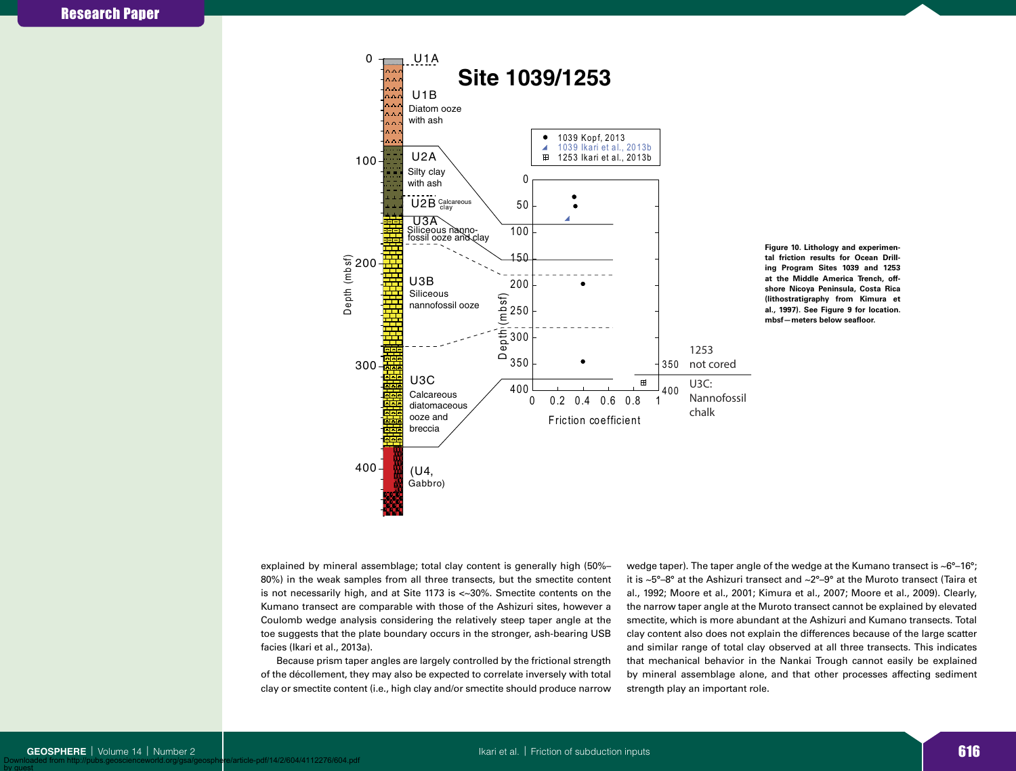



explained by mineral assemblage; total clay content is generally high (50%– 80%) in the weak samples from all three transects, but the smectite content is not necessarily high, and at Site 1173 is <~30%. Smectite contents on the Kumano transect are comparable with those of the Ashizuri sites, however a Coulomb wedge analysis considering the relatively steep taper angle at the toe suggests that the plate boundary occurs in the stronger, ash-bearing USB facies (Ikari et al., 2013a).

Because prism taper angles are largely controlled by the frictional strength of the décollement, they may also be expected to correlate inversely with total clay or smectite content (i.e., high clay and/or smectite should produce narrow wedge taper). The taper angle of the wedge at the Kumano transect is  $\sim6^{\circ}-16^{\circ}$ ; it is ~5°–8° at the Ashizuri transect and ~2°–9° at the Muroto transect (Taira et al., 1992; Moore et al., 2001; Kimura et al., 2007; Moore et al., 2009). Clearly, the narrow taper angle at the Muroto transect cannot be explained by elevated smectite, which is more abundant at the Ashizuri and Kumano transects. Total clay content also does not explain the differences because of the large scatter and similar range of total clay observed at all three transects. This indicates that mechanical behavior in the Nankai Trough cannot easily be explained by mineral assemblage alone, and that other processes affecting sediment strength play an important role.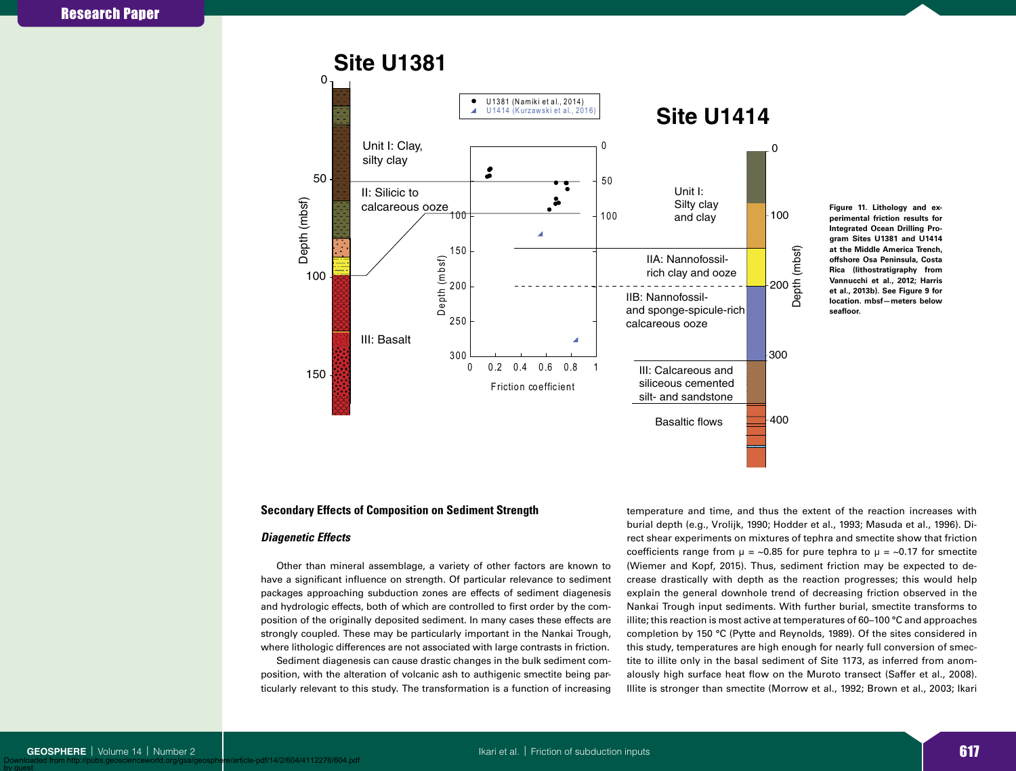

**Figure 11. Lithology and experimental friction results for Integrated Ocean Drilling Program Sites U1381 and U1414 at the Middle America Trench, offshore Osa Peninsula, Costa Rica (lithostratigraphy from Vannucchi et al., 2012; Harris et al., 2013b). See Figure 9 for location. mbsf—meters below seafloor.**

# **Secondary Effects of Composition on Sediment Strength**

## *Diagenetic Effects*

Other than mineral assemblage, a variety of other factors are known to have a significant influence on strength. Of particular relevance to sediment packages approaching subduction zones are effects of sediment diagenesis and hydrologic effects, both of which are controlled to first order by the composition of the originally deposited sediment. In many cases these effects are strongly coupled. These may be particularly important in the Nankai Trough, where lithologic differences are not associated with large contrasts in friction.

Sediment diagenesis can cause drastic changes in the bulk sediment composition, with the alteration of volcanic ash to authigenic smectite being particularly relevant to this study. The transformation is a function of increasing temperature and time, and thus the extent of the reaction increases with burial depth (e.g., Vrolijk, 1990; Hodder et al., 1993; Masuda et al., 1996). Direct shear experiments on mixtures of tephra and smectite show that friction coefficients range from  $\mu = \sim 0.85$  for pure tephra to  $\mu = \sim 0.17$  for smectite (Wiemer and Kopf, 2015). Thus, sediment friction may be expected to decrease drastically with depth as the reaction progresses; this would help explain the general downhole trend of decreasing friction observed in the Nankai Trough input sediments. With further burial, smectite transforms to illite; this reaction is most active at temperatures of 60–100 °C and approaches completion by 150 °C (Pytte and Reynolds, 1989). Of the sites considered in this study, temperatures are high enough for nearly full conversion of smectite to illite only in the basal sediment of Site 1173, as inferred from anomalously high surface heat flow on the Muroto transect (Saffer et al., 2008). Illite is stronger than smectite (Morrow et al., 1992; Brown et al., 2003; Ikari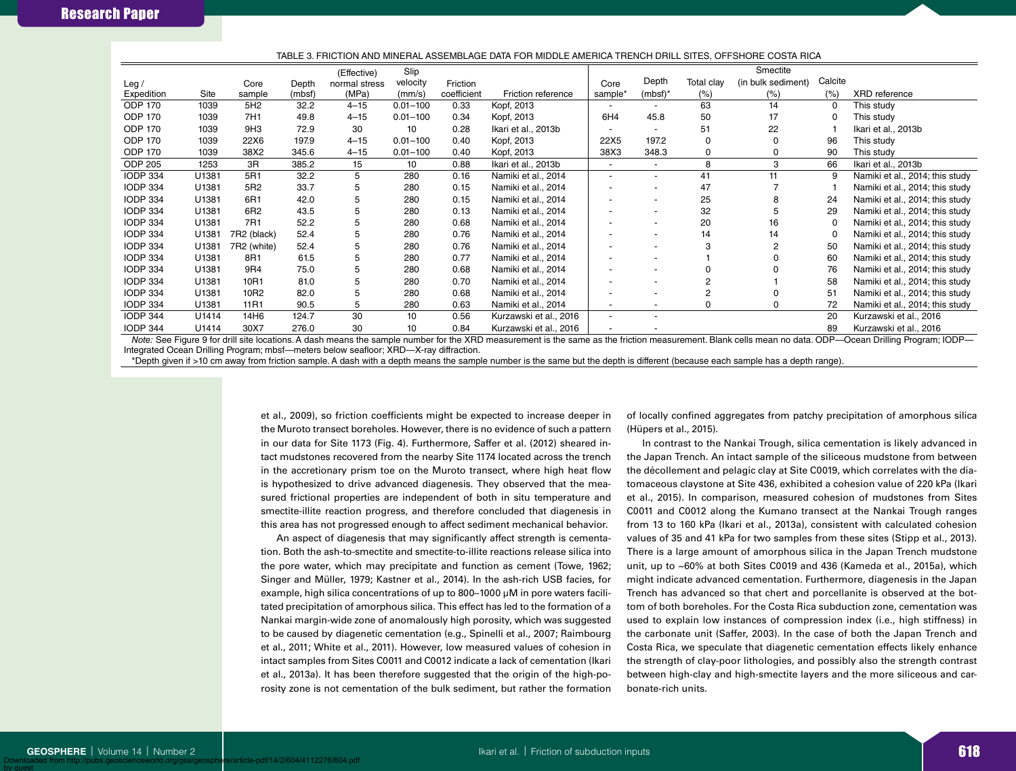|                    |                  |        |               | Slip         |             |                                                     |         |                          |                   | Smectite           |                                    |                                 |
|--------------------|------------------|--------|---------------|--------------|-------------|-----------------------------------------------------|---------|--------------------------|-------------------|--------------------|------------------------------------|---------------------------------|
|                    | Core             | Depth  | normal stress | velocity     | Friction    |                                                     | Core    | Depth                    | Total clay        | (in bulk sediment) | Calcite                            |                                 |
| Expedition<br>Site | sample           | (mbsf) | (MPa)         | (mm/s)       | coefficient | Friction reference                                  | sample* | $(mbsf)^*$               | (% )              | (% )               | (%)                                | <b>XRD</b> reference            |
| 1039               | 5H <sub>2</sub>  | 32.2   | $4 - 15$      | $0.01 - 100$ | 0.33        | Kopf, 2013                                          |         |                          | 63                | 14                 | 0                                  | This study                      |
| 1039               | 7H1              | 49.8   | $4 - 15$      | $0.01 - 100$ | 0.34        | Kopf, 2013                                          | 6H4     | 45.8                     | 50                | 17                 | 0                                  | This study                      |
| 1039               | 9H3              | 72.9   | 30            | 10           | 0.28        | Ikari et al., 2013b                                 |         |                          | 51                | 22                 |                                    | Ikari et al., 2013b             |
| 1039               | 22X6             | 197.9  | $4 - 15$      | $0.01 - 100$ | 0.40        | Kopf, 2013                                          | 22X5    | 197.2                    | $\Omega$          |                    | 96                                 | This study                      |
| 1039               | 38X2             | 345.6  | $4 - 15$      | $0.01 - 100$ | 0.40        | Kopf, 2013                                          | 38X3    | 348.3                    |                   |                    | 90                                 | This study                      |
| 1253               | 3R               | 385.2  | 15            | 10           | 0.88        | Ikari et al., 2013b                                 |         | $\overline{\phantom{a}}$ | 8                 | 3                  | 66                                 | Ikari et al., 2013b             |
| U1381              | 5R1              | 32.2   | 5             | 280          | 0.16        | Namiki et al., 2014                                 |         |                          | 41                | 11                 | 9                                  | Namiki et al., 2014; this study |
| U1381              | 5R2              | 33.7   | 5             | 280          | 0.15        | Namiki et al., 2014                                 |         |                          | 47                |                    |                                    | Namiki et al., 2014; this study |
| U1381              | 6R1              | 42.0   | 5             | 280          | 0.15        | Namiki et al., 2014                                 |         |                          | 25                | 8                  | 24                                 | Namiki et al., 2014; this study |
| U1381              | 6R2              | 43.5   | 5             | 280          | 0.13        | Namiki et al., 2014                                 |         | $\overline{\phantom{a}}$ | 32                |                    | 29                                 | Namiki et al., 2014; this study |
| U1381              | 7R1              | 52.2   | 5             | 280          | 0.68        | Namiki et al., 2014                                 |         |                          | 20                | 16                 | 0                                  | Namiki et al., 2014; this study |
| U1381              | 7R2 (black)      | 52.4   | 5             | 280          | 0.76        | Namiki et al., 2014                                 |         |                          | 14                | 14                 | 0                                  | Namiki et al., 2014; this study |
| U1381              | 7R2 (white)      | 52.4   | 5             | 280          | 0.76        | Namiki et al., 2014                                 |         |                          |                   |                    | 50                                 | Namiki et al., 2014; this study |
| U1381              | 8R1              | 61.5   | 5             | 280          | 0.77        | Namiki et al., 2014                                 |         |                          |                   |                    | 60                                 | Namiki et al., 2014; this study |
| U1381              | 9R4              | 75.0   | 5             | 280          | 0.68        | Namiki et al., 2014                                 |         |                          |                   |                    | 76                                 | Namiki et al., 2014; this study |
| U1381              | 10R1             | 81.0   | 5             | 280          | 0.70        | Namiki et al., 2014                                 |         |                          |                   |                    | 58                                 | Namiki et al., 2014; this study |
| U1381              | 10R2             | 82.0   | 5             | 280          | 0.68        | Namiki et al., 2014                                 |         |                          |                   |                    | 51                                 | Namiki et al., 2014; this study |
| U1381              | 11 <sub>R1</sub> | 90.5   | 5             | 280          | 0.63        | Namiki et al., 2014                                 |         |                          |                   |                    | 72                                 | Namiki et al., 2014; this study |
| U1414              | 14H6             | 124.7  | 30            | 10           | 0.56        | Kurzawski et al., 2016                              |         |                          |                   |                    | 20                                 | Kurzawski et al., 2016          |
| U1414              | 30X7             | 276.0  | 30            | 10           | 0.84        | Kurzawski et al., 2016                              |         |                          |                   |                    | 89                                 | Kurzawski et al., 2016          |
|                    |                  |        |               | (Effective)  |             | $\mathbf{1}$ $\mathbf{1}$ $\mathbf{1}$ $\mathbf{1}$ |         |                          | $\cdots$ $\cdots$ |                    | $\sim$ $\sim$ $\sim$ $\sim$ $\sim$ | $\cdots$ $\sim$                 |

#### TABLE 3. FRICTION AND MINERAL ASSEMBLAGE DATA FOR MIDDLE AMERICA TRENCH DRILL SITES, OFFSHORE COSTA RICA

*Note:* See Figure 9 for drill site locations. A dash means the sample number for the XRD measurement is the same as the friction measurement. Blank cells mean no data. ODP—Ocean Drilling Program; IODP— Integrated Ocean Drilling Program; mbsf—meters below seafloor; XRD—X-ray diffraction.

\*Depth given if >10 cm away from friction sample. A dash with a depth means the sample number is the same but the depth is different (because each sample has a depth range).

et al., 2009), so friction coefficients might be expected to increase deeper in the Muroto transect boreholes. However, there is no evidence of such a pattern in our data for Site 1173 (Fig. 4). Furthermore, Saffer et al. (2012) sheared intact mudstones recovered from the nearby Site 1174 located across the trench in the accretionary prism toe on the Muroto transect, where high heat flow is hypothesized to drive advanced diagenesis. They observed that the measured frictional properties are independent of both in situ temperature and smectite-illite reaction progress, and therefore concluded that diagenesis in this area has not progressed enough to affect sediment mechanical behavior.

An aspect of diagenesis that may significantly affect strength is cementation. Both the ash-to-smectite and smectite-to-illite reactions release silica into the pore water, which may precipitate and function as cement (Towe, 1962; Singer and Müller, 1979; Kastner et al., 2014). In the ash-rich USB facies, for example, high silica concentrations of up to 800–1000 µM in pore waters facilitated precipitation of amorphous silica. This effect has led to the formation of a Nankai margin-wide zone of anomalously high porosity, which was suggested to be caused by diagenetic cementation (e.g., Spinelli et al., 2007; Raimbourg et al., 2011; White et al., 2011). However, low measured values of cohesion in intact samples from Sites C0011 and C0012 indicate a lack of cementation (Ikari et al., 2013a). It has been therefore suggested that the origin of the high-porosity zone is not cementation of the bulk sediment, but rather the formation of locally confined aggregates from patchy precipitation of amorphous silica (Hüpers et al., 2015).

In contrast to the Nankai Trough, silica cementation is likely advanced in the Japan Trench. An intact sample of the siliceous mudstone from between the décollement and pelagic clay at Site C0019, which correlates with the diatomaceous claystone at Site 436, exhibited a cohesion value of 220 kPa (Ikari et al., 2015). In comparison, measured cohesion of mudstones from Sites C0011 and C0012 along the Kumano transect at the Nankai Trough ranges from 13 to 160 kPa (Ikari et al., 2013a), consistent with calculated cohesion values of 35 and 41 kPa for two samples from these sites (Stipp et al., 2013). There is a large amount of amorphous silica in the Japan Trench mudstone unit, up to ~60% at both Sites C0019 and 436 (Kameda et al., 2015a), which might indicate advanced cementation. Furthermore, diagenesis in the Japan Trench has advanced so that chert and porcellanite is observed at the bottom of both boreholes. For the Costa Rica subduction zone, cementation was used to explain low instances of compression index (i.e., high stiffness) in the carbonate unit (Saffer, 2003). In the case of both the Japan Trench and Costa Rica, we speculate that diagenetic cementation effects likely enhance the strength of clay-poor lithologies, and possibly also the strength contrast between high-clay and high-smectite layers and the more siliceous and carbonate-rich units.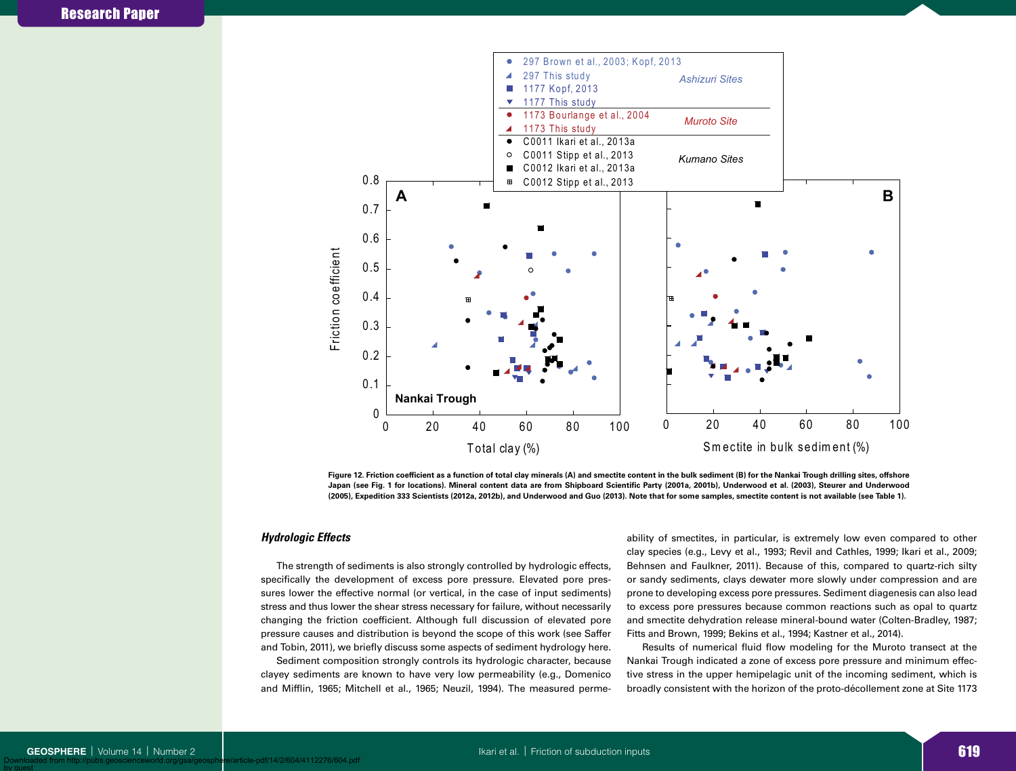

Figure 12. Friction coefficient as a function of total clay minerals (A) and smectite content in the bulk sediment (B) for the Nankai Trough drilling sites, offshore **Japan (see Fig. 1 for locations). Mineral content data are from Shipboard Scientific Party (2001a, 2001b), Underwood et al. (2003), Steurer and Underwood (2005), Expedition 333 Scientists (2012a, 2012b), and Underwood and Guo (2013). Note that for some samples, smectite content is not available (see Table 1).**

## *Hydrologic Effects*

The strength of sediments is also strongly controlled by hydrologic effects, specifically the development of excess pore pressure. Elevated pore pressures lower the effective normal (or vertical, in the case of input sediments) stress and thus lower the shear stress necessary for failure, without necessarily changing the friction coefficient. Although full discussion of elevated pore pressure causes and distribution is beyond the scope of this work (see Saffer and Tobin, 2011), we briefly discuss some aspects of sediment hydrology here.

Sediment composition strongly controls its hydrologic character, because clayey sediments are known to have very low permeability (e.g., Domenico and Mifflin, 1965; Mitchell et al., 1965; Neuzil, 1994). The measured permeability of smectites, in particular, is extremely low even compared to other clay species (e.g., Levy et al., 1993; Revil and Cathles, 1999; Ikari et al., 2009; Behnsen and Faulkner, 2011). Because of this, compared to quartz-rich silty or sandy sediments, clays dewater more slowly under compression and are prone to developing excess pore pressures. Sediment diagenesis can also lead to excess pore pressures because common reactions such as opal to quartz and smectite dehydration release mineral-bound water (Colten-Bradley, 1987; Fitts and Brown, 1999; Bekins et al., 1994; Kastner et al., 2014).

Results of numerical fluid flow modeling for the Muroto transect at the Nankai Trough indicated a zone of excess pore pressure and minimum effective stress in the upper hemipelagic unit of the incoming sediment, which is broadly consistent with the horizon of the proto-décollement zone at Site 1173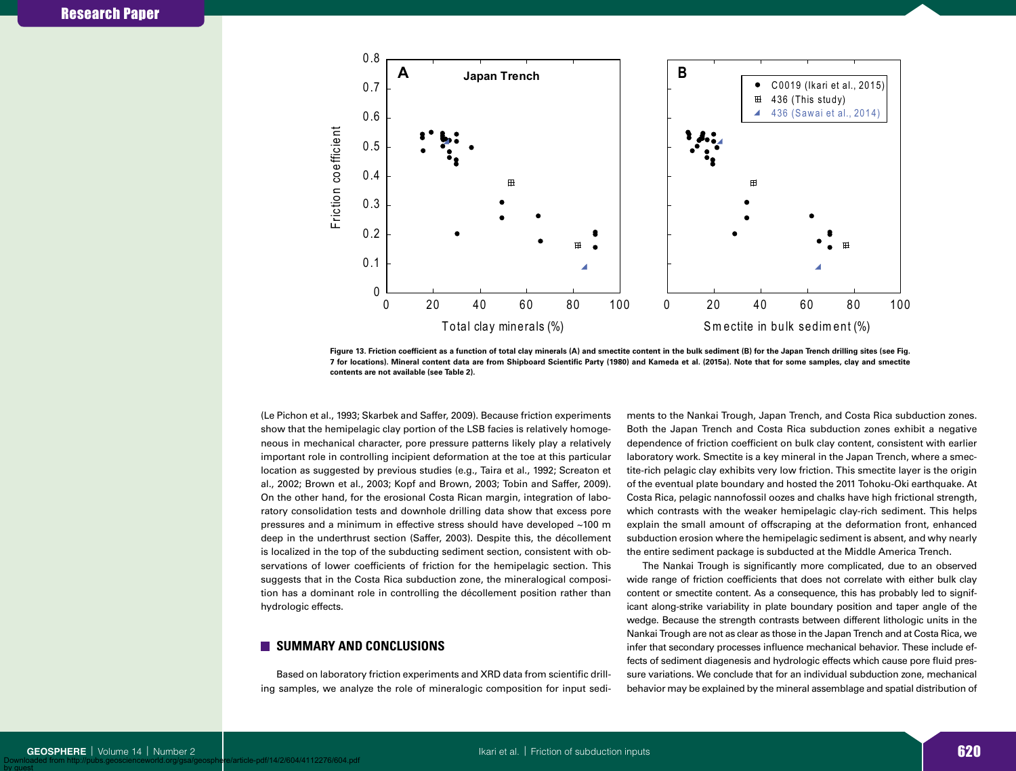

**Figure 13. Friction coefficient as a function of total clay minerals (A) and smectite content in the bulk sediment (B) for the Japan Trench drilling sites (see Fig. 7 for locations). Mineral content data are from Shipboard Scientific Party (1980) and Kameda et al. (2015a). Note that for some samples, clay and smectite contents are not available (see Table 2).**

(Le Pichon et al., 1993; Skarbek and Saffer, 2009). Because friction experiments show that the hemipelagic clay portion of the LSB facies is relatively homogeneous in mechanical character, pore pressure patterns likely play a relatively important role in controlling incipient deformation at the toe at this particular location as suggested by previous studies (e.g., Taira et al., 1992; Screaton et al., 2002; Brown et al., 2003; Kopf and Brown, 2003; Tobin and Saffer, 2009). On the other hand, for the erosional Costa Rican margin, integration of laboratory consolidation tests and downhole drilling data show that excess pore pressures and a minimum in effective stress should have developed ~100 m deep in the underthrust section (Saffer, 2003). Despite this, the décollement is localized in the top of the subducting sediment section, consistent with observations of lower coefficients of friction for the hemipelagic section. This suggests that in the Costa Rica subduction zone, the mineralogical composition has a dominant role in controlling the décollement position rather than hydrologic effects.

# **SUMMARY AND CONCLUSIONS**

Based on laboratory friction experiments and XRD data from scientific drilling samples, we analyze the role of mineralogic composition for input sediments to the Nankai Trough, Japan Trench, and Costa Rica subduction zones. Both the Japan Trench and Costa Rica subduction zones exhibit a negative dependence of friction coefficient on bulk clay content, consistent with earlier laboratory work. Smectite is a key mineral in the Japan Trench, where a smectite-rich pelagic clay exhibits very low friction. This smectite layer is the origin of the eventual plate boundary and hosted the 2011 Tohoku-Oki earthquake. At Costa Rica, pelagic nannofossil oozes and chalks have high frictional strength, which contrasts with the weaker hemipelagic clay-rich sediment. This helps explain the small amount of offscraping at the deformation front, enhanced subduction erosion where the hemipelagic sediment is absent, and why nearly the entire sediment package is subducted at the Middle America Trench.

The Nankai Trough is significantly more complicated, due to an observed wide range of friction coefficients that does not correlate with either bulk clay content or smectite content. As a consequence, this has probably led to significant along-strike variability in plate boundary position and taper angle of the wedge. Because the strength contrasts between different lithologic units in the Nankai Trough are not as clear as those in the Japan Trench and at Costa Rica, we infer that secondary processes influence mechanical behavior. These include effects of sediment diagenesis and hydrologic effects which cause pore fluid pressure variations. We conclude that for an individual subduction zone, mechanical behavior may be explained by the mineral assemblage and spatial distribution of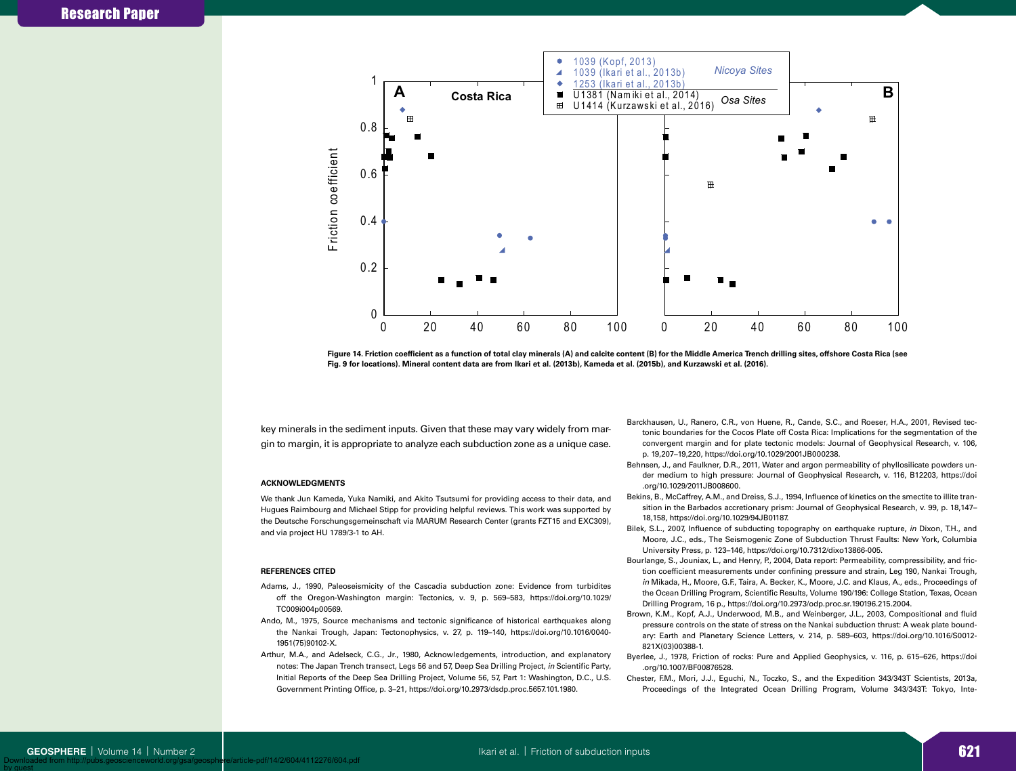

**.**<br>Figure 14. Friction coefficient as a function of total clay minerals (A) and calcite content (B) for the Middle America Trench drilling sites, offshore Costa Rica (see **Fig. 9 for locations). Mineral content data are from Ikari et al. (2013b), Kameda et al. (2015b), and Kurzawski et al. (2016).**

key minerals in the sediment inputs. Given that these may vary widely from margin to margin, it is appropriate to analyze each subduction zone as a unique case.

#### **ACKNOWLEDGMENTS**

We thank Jun Kameda, Yuka Namiki, and Akito Tsutsumi for providing access to their data, and Hugues Raimbourg and Michael Stipp for providing helpful reviews. This work was supported by the Deutsche Forschungsgemeinschaft via MARUM Research Center (grants FZT15 and EXC309), and via project HU 1789/3-1 to AH.

#### **REFERENCES CITED**

- Adams, J., 1990, Paleoseismicity of the Cascadia subduction zone: Evidence from turbidites off the Oregon-Washington margin: Tectonics, v. 9, p. 569–583, https://doi.org/10.1029/ TC009i004p00569.
- Ando, M., 1975, Source mechanisms and tectonic significance of historical earthquakes along the Nankai Trough, Japan: Tectonophysics, v. 27, p. 119–140, https://doi.org/10.1016/0040- 1951(75)90102-X.
- Arthur, M.A., and Adelseck, C.G., Jr., 1980, Acknowledgements, introduction, and explanatory notes: The Japan Trench transect, Legs 56 and 57, Deep Sea Drilling Project, *in* Scientific Party, Initial Reports of the Deep Sea Drilling Project, Volume 56, 57, Part 1: Washington, D.C., U.S. Government Printing Office, p. 3–21, https://doi.org/10.2973/dsdp.proc.5657.101.1980.
- Barckhausen, U., Ranero, C.R., von Huene, R., Cande, S.C., and Roeser, H.A., 2001, Revised tectonic boundaries for the Cocos Plate off Costa Rica: Implications for the segmentation of the convergent margin and for plate tectonic models: Journal of Geophysical Research, v. 106, p. 19,207–19,220, https://doi.org/10.1029/2001JB000238.
- Behnsen, J., and Faulkner, D.R., 2011, Water and argon permeability of phyllosilicate powders under medium to high pressure: Journal of Geophysical Research, v. 116, B12203, https://doi .org/10.1029/2011JB008600.
- Bekins, B., McCaffrey, A.M., and Dreiss, S.J., 1994, Influence of kinetics on the smectite to illite transition in the Barbados accretionary prism: Journal of Geophysical Research, v. 99, p. 18,147– 18,158, https://doi.org/10.1029/94JB01187.
- Bilek, S.L., 2007, Influence of subducting topography on earthquake rupture, *in* Dixon, T.H., and Moore, J.C., eds., The Seismogenic Zone of Subduction Thrust Faults: New York, Columbia University Press, p. 123–146, https://doi.org/10.7312/dixo13866-005.
- Bourlange, S., Jouniax, L., and Henry, P., 2004, Data report: Permeability, compressibility, and friction coefficient measurements under confining pressure and strain, Leg 190, Nankai Trough, *in* Mikada, H., Moore, G.F., Taira, A. Becker, K., Moore, J.C. and Klaus, A., eds., Proceedings of the Ocean Drilling Program, Scientific Results, Volume 190/196: College Station, Texas, Ocean Drilling Program, 16 p., https://doi.org/10.2973/odp.proc.sr.190196.215.2004.
- Brown, K.M., Kopf, A.J., Underwood, M.B., and Weinberger, J.L., 2003, Compositional and fluid pressure controls on the state of stress on the Nankai subduction thrust: A weak plate boundary: Earth and Planetary Science Letters, v. 214, p. 589–603, https://doi.org/10.1016/S0012- 821X(03)00388-1.
- Byerlee, J., 1978, Friction of rocks: Pure and Applied Geophysics, v. 116, p. 615–626, https://doi .org/10.1007/BF00876528.
- Chester, F.M., Mori, J.J., Eguchi, N., Toczko, S., and the Expedition 343/343T Scientists, 2013a, Proceedings of the Integrated Ocean Drilling Program, Volume 343/343T: Tokyo, Inte-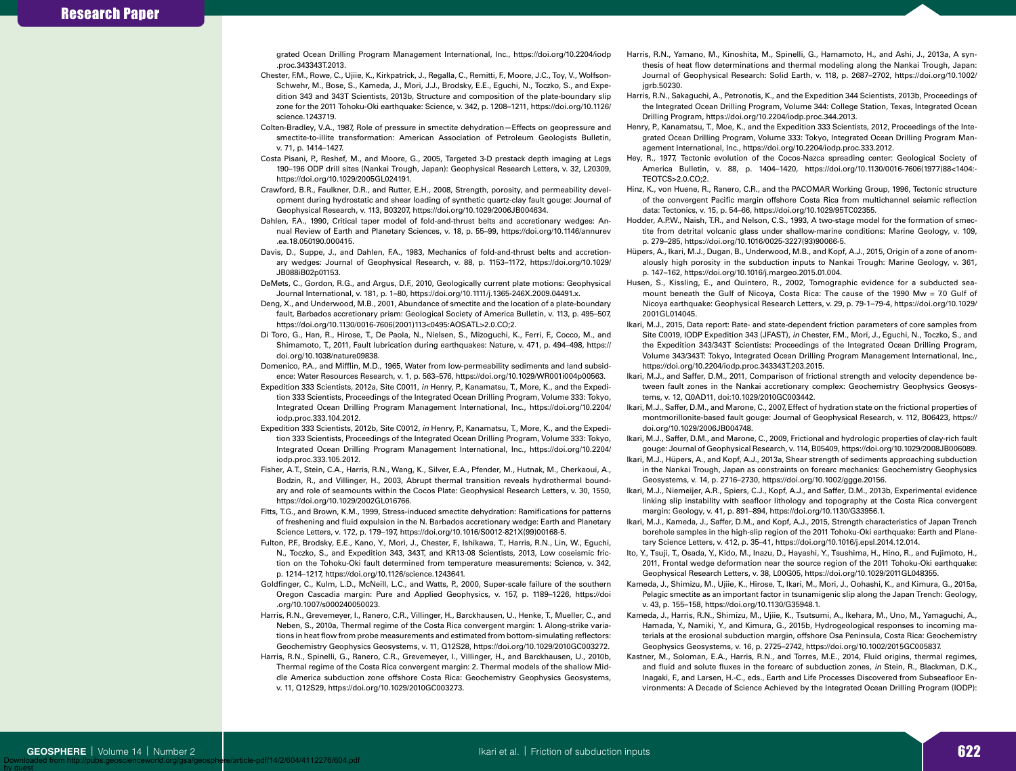grated Ocean Drilling Program Management International, Inc., https://doi.org/10.2204/iodp .proc.343343T.2013.

- Chester, F.M., Rowe, C., Ujiie, K., Kirkpatrick, J., Regalla, C., Remitti, F., Moore, J.C., Toy, V., Wolfson-Schwehr, M., Bose, S., Kameda, J., Mori, J.J., Brodsky, E.E., Eguchi, N., Toczko, S., and Expedition 343 and 343T Scientists, 2013b, Structure and composition of the plate-boundary slip zone for the 2011 Tohoku-Oki earthquake: Science, v. 342, p. 1208–1211, https://doi.org/10.1126/ science.1243719.
- Colten-Bradley, V.A., 1987, Role of pressure in smectite dehydration—Effects on geopressure and smectite-to-illite transformation: American Association of Petroleum Geologists Bulletin, v. 71, p. 1414–1427.
- Costa Pisani, P., Reshef, M., and Moore, G., 2005, Targeted 3-D prestack depth imaging at Legs 190–196 ODP drill sites (Nankai Trough, Japan): Geophysical Research Letters, v. 32, L20309, https://doi.org/10.1029/2005GL024191.
- Crawford, B.R., Faulkner, D.R., and Rutter, E.H., 2008, Strength, porosity, and permeability development during hydrostatic and shear loading of synthetic quartz-clay fault gouge: Journal of Geophysical Research, v. 113, B03207, https://doi.org/10.1029/2006JB004634.
- Dahlen, F.A., 1990, Critical taper model of fold-and-thrust belts and accretionary wedges: Annual Review of Earth and Planetary Sciences, v. 18, p. 55–99, https://doi.org/10.1146/annurev .ea.18.050190.000415.
- Davis, D., Suppe, J., and Dahlen, F.A., 1983, Mechanics of fold-and-thrust belts and accretionary wedges: Journal of Geophysical Research, v. 88, p. 1153–1172, https://doi.org/10.1029/ JB088iB02p01153.
- DeMets, C., Gordon, R.G., and Argus, D.F., 2010, Geologically current plate motions: Geophysical Journal International, v. 181, p. 1–80, https://doi.org/10.1111/j.1365-246X.2009.04491.x.
- Deng, X., and Underwood, M.B., 2001, Abundance of smectite and the location of a plate-boundary fault, Barbados accretionary prism: Geological Society of America Bulletin, v. 113, p. 495–507, https://doi.org/10.1130/0016-7606(2001)113<0495:AOSATL>2.0.CO;2.
- Di Toro, G., Han, R., Hirose, T., De Paola, N., Nielsen, S., Mizoguchi, K., Ferri, F., Cocco, M., and Shimamoto, T., 2011, Fault lubrication during earthquakes: Nature, v. 471, p. 494–498, https:// doi.org/10.1038/nature09838.
- Domenico, P.A., and Mifflin, M.D., 1965, Water from low-permeability sediments and land subsidence: Water Resources Research, v. 1, p. 563–576, https://doi.org/10.1029/WR001i004p00563.
- Expedition 333 Scientists, 2012a, Site C0011, *in* Henry, P., Kanamatsu, T., More, K., and the Expedition 333 Scientists, Proceedings of the Integrated Ocean Drilling Program, Volume 333: Tokyo, Integrated Ocean Drilling Program Management International, Inc., https://doi.org/10.2204/ iodp.proc.333.104.2012.
- Expedition 333 Scientists, 2012b, Site C0012, *in* Henry, P., Kanamatsu, T., More, K., and the Expedition 333 Scientists, Proceedings of the Integrated Ocean Drilling Program, Volume 333: Tokyo, Integrated Ocean Drilling Program Management International, Inc., https://doi.org/10.2204/ iodp.proc.333.105.2012.
- Fisher, A.T., Stein, C.A., Harris, R.N., Wang, K., Silver, E.A., Pfender, M., Hutnak, M., Cherkaoui, A., Bodzin, R., and Villinger, H., 2003, Abrupt thermal transition reveals hydrothermal boundary and role of seamounts within the Cocos Plate: Geophysical Research Letters, v. 30, 1550, https://doi.org/10.1029/2002GL016766.
- Fitts, T.G., and Brown, K.M., 1999, Stress-induced smectite dehydration: Ramifications for patterns of freshening and fluid expulsion in the N. Barbados accretionary wedge: Earth and Planetary Science Letters, v. 172, p. 179–197, https://doi.org/10.1016/S0012-821X(99)00168-5.
- Fulton, P.F., Brodsky, E.E., Kano, Y., Mori, J., Chester, F., Ishikawa, T., Harris, R.N., Lin, W., Eguchi, N., Toczko, S., and Expedition 343, 343T, and KR13-08 Scientists, 2013, Low coseismic friction on the Tohoku-Oki fault determined from temperature measurements: Science, v. 342, p. 1214–1217, https://doi.org/10.1126/science.1243641.
- Goldfinger, C., Kulm, L.D., McNeill, L.C., and Watts, P., 2000, Super-scale failure of the southern Oregon Cascadia margin: Pure and Applied Geophysics, v. 157, p. 1189–1226, https://doi .org/10.1007/s000240050023.
- Harris, R.N., Grevemeyer, I., Ranero, C.R., Villinger, H., Barckhausen, U., Henke, T., Mueller, C., and Neben, S., 2010a, Thermal regime of the Costa Rica convergent margin: 1. Along-strike variations in heat flow from probe measurements and estimated from bottom-simulating reflectors: Geochemistry Geophysics Geosystems, v. 11, Q12S28, https://doi.org/10.1029/2010GC003272.
- Harris, R.N., Spinelli, G., Ranero, C.R., Grevemeyer, I., Villinger, H., and Barckhausen, U., 2010b, Thermal regime of the Costa Rica convergent margin: 2. Thermal models of the shallow Middle America subduction zone offshore Costa Rica: Geochemistry Geophysics Geosystems, v. 11, Q12S29, https://doi.org/10.1029/2010GC003273.
- Harris, R.N., Yamano, M., Kinoshita, M., Spinelli, G., Hamamoto, H., and Ashi, J., 2013a, A synthesis of heat flow determinations and thermal modeling along the Nankai Trough, Japan: Journal of Geophysical Research: Solid Earth, v. 118, p. 2687–2702, https://doi.org/10.1002/ jgrb.50230.
- Harris, R.N., Sakaguchi, A., Petronotis, K., and the Expedition 344 Scientists, 2013b, Proceedings of the Integrated Ocean Drilling Program, Volume 344: College Station, Texas, Integrated Ocean Drilling Program, https://doi.org/10.2204/iodp.proc.344.2013.
- Henry, P., Kanamatsu, T., Moe, K., and the Expedition 333 Scientists, 2012, Proceedings of the Integrated Ocean Drilling Program, Volume 333: Tokyo, Integrated Ocean Drilling Program Management International, Inc., https://doi.org/10.2204/iodp.proc.333.2012.
- Hey, R., 1977, Tectonic evolution of the Cocos-Nazca spreading center: Geological Society of America Bulletin, v. 88, p. 1404–1420, https://doi.org/10.1130/0016-7606(1977)88<1404:- TEOTCS>2.0.CO:2
- Hinz, K., von Huene, R., Ranero, C.R., and the PACOMAR Working Group, 1996, Tectonic structure of the convergent Pacific margin offshore Costa Rica from multichannel seismic reflection data: Tectonics, v. 15, p. 54–66, https://doi.org/10.1029/95TC02355.
- Hodder, A.P.W., Naish, T.R., and Nelson, C.S., 1993, A two-stage model for the formation of smectite from detrital volcanic glass under shallow-marine conditions: Marine Geology, v. 109, p. 279–285, https://doi.org/10.1016/0025-3227(93)90066-5.
- Hüpers, A., Ikari, M.J., Dugan, B., Underwood, M.B., and Kopf, A.J., 2015, Origin of a zone of anomalously high porosity in the subduction inputs to Nankai Trough: Marine Geology, v. 361, p. 147–162, https://doi.org/10.1016/j.margeo.2015.01.004.
- Husen, S., Kissling, E., and Quintero, R., 2002, Tomographic evidence for a subducted seamount beneath the Gulf of Nicoya, Costa Rica: The cause of the 1990 Mw = 7.0 Gulf of Nicoya earthquake: Geophysical Research Letters, v. 29, p. 79-1–79-4, https://doi.org/10.1029/ 2001GL014045.
- Ikari, M.J., 2015, Data report: Rate- and state-dependent friction parameters of core samples from Site C0019, IODP Expedition 343 (JFAST), *in* Chester, F.M., Mori, J., Eguchi, N., Toczko, S., and the Expedition 343/343T Scientists: Proceedings of the Integrated Ocean Drilling Program, Volume 343/343T: Tokyo, Integrated Ocean Drilling Program Management International, Inc., https://doi.org/10.2204/iodp.proc.343343T.203.2015.
- Ikari, M.J., and Saffer, D.M., 2011, Comparison of frictional strength and velocity dependence between fault zones in the Nankai accretionary complex: Geochemistry Geophysics Geosystems, v. 12, Q0AD11, doi:10.1029/2010GC003442.
- Ikari, M.J., Saffer, D.M., and Marone, C., 2007, Effect of hydration state on the frictional properties of montmorillonite-based fault gouge: Journal of Geophysical Research, v. 112, B06423, https:// doi.org/10.1029/2006JB004748.
- Ikari, M.J., Saffer, D.M., and Marone, C., 2009, Frictional and hydrologic properties of clay-rich fault gouge: Journal of Geophysical Research, v. 114, B05409, https://doi.org/10.1029/2008JB006089.
- Ikari, M.J., Hüpers, A., and Kopf, A.J., 2013a, Shear strength of sediments approaching subduction in the Nankai Trough, Japan as constraints on forearc mechanics: Geochemistry Geophysics Geosystems, v. 14, p. 2716–2730, https://doi.org/10.1002/ggge.20156.
- Ikari, M.J., Niemeijer, A.R., Spiers, C.J., Kopf, A.J., and Saffer, D.M., 2013b, Experimental evidence linking slip instability with seafloor lithology and topography at the Costa Rica convergent margin: Geology, v. 41, p. 891–894, https://doi.org/10.1130/G33956.1.
- Ikari, M.J., Kameda, J., Saffer, D.M., and Kopf, A.J., 2015, Strength characteristics of Japan Trench borehole samples in the high-slip region of the 2011 Tohoku-Oki earthquake: Earth and Planetary Science Letters, v. 412, p. 35–41, https://doi.org/10.1016/j.epsl.2014.12.014.
- Ito, Y., Tsuji, T., Osada, Y., Kido, M., Inazu, D., Hayashi, Y., Tsushima, H., Hino, R., and Fujimoto, H., 2011, Frontal wedge deformation near the source region of the 2011 Tohoku-Oki earthquake: Geophysical Research Letters, v. 38, L00G05, https://doi.org/10.1029/2011GL048355.
- Kameda, J., Shimizu, M., Ujiie, K., Hirose, T., Ikari, M., Mori, J., Oohashi, K., and Kimura, G., 2015a, Pelagic smectite as an important factor in tsunamigenic slip along the Japan Trench: Geology, v. 43, p. 155–158, https://doi.org/10.1130/G35948.1.
- Kameda, J., Harris, R.N., Shimizu, M., Ujiie, K., Tsutsumi, A., Ikehara, M., Uno, M., Yamaguchi, A., Hamada, Y., Namiki, Y., and Kimura, G., 2015b, Hydrogeological responses to incoming materials at the erosional subduction margin, offshore Osa Peninsula, Costa Rica: Geochemistry Geophysics Geosystems, v. 16, p. 2725–2742, https://doi.org/10.1002/2015GC005837.
- Kastner, M., Soloman, E.A., Harris, R.N., and Torres, M.E., 2014, Fluid origins, thermal regimes, and fluid and solute fluxes in the forearc of subduction zones, *in* Stein, R., Blackman, D.K., Inagaki, F., and Larsen, H.-C., eds., Earth and Life Processes Discovered from Subseafloor Environments: A Decade of Science Achieved by the Integrated Ocean Drilling Program (IODP):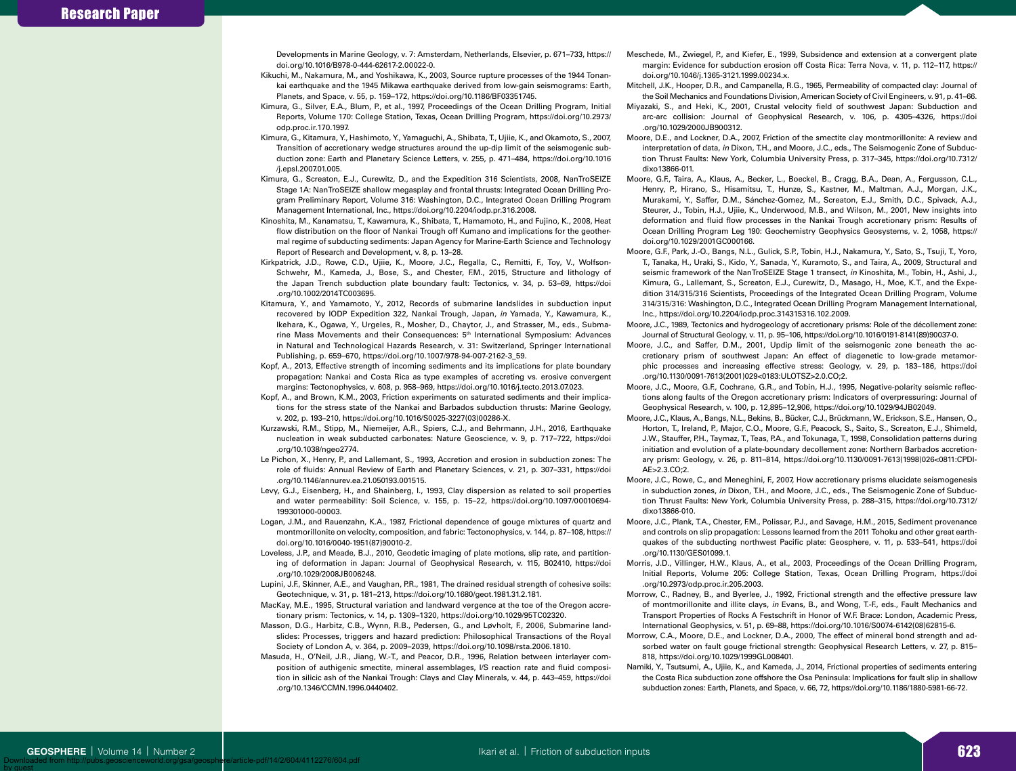Developments in Marine Geology, v. 7: Amsterdam, Netherlands, Elsevier, p. 671–733, https:// doi.org/10.1016/B978-0-444-62617-2.00022-0.

- Kikuchi, M., Nakamura, M., and Yoshikawa, K., 2003, Source rupture processes of the 1944 Tonankai earthquake and the 1945 Mikawa earthquake derived from low-gain seismograms: Earth, Planets, and Space, v. 55, p. 159–172, https://doi.org/10.1186/BF03351745.
- Kimura, G., Silver, E.A., Blum, P., et al., 1997, Proceedings of the Ocean Drilling Program, Initial Reports, Volume 170: College Station, Texas, Ocean Drilling Program, https://doi.org/10.2973/ odp.proc.ir.170.1997.
- Kimura, G., Kitamura, Y., Hashimoto, Y., Yamaguchi, A., Shibata, T., Ujiie, K., and Okamoto, S., 2007, Transition of accretionary wedge structures around the up-dip limit of the seismogenic subduction zone: Earth and Planetary Science Letters, v. 255, p. 471–484, https://doi.org/10.1016 /j.epsl.2007.01.005.
- Kimura, G., Screaton, E.J., Curewitz, D., and the Expedition 316 Scientists, 2008, NanTroSEIZE Stage 1A: NanTroSEIZE shallow megasplay and frontal thrusts: Integrated Ocean Drilling Program Preliminary Report, Volume 316: Washington, D.C., Integrated Ocean Drilling Program Management International, Inc., https://doi.org/10.2204/iodp.pr.316.2008.
- Kinoshita, M., Kanamatsu, T., Kawamura, K., Shibata, T., Hamamoto, H., and Fujino, K., 2008, Heat flow distribution on the floor of Nankai Trough off Kumano and implications for the geothermal regime of subducting sediments: Japan Agency for Marine-Earth Science and Technology Report of Research and Development, v. 8, p. 13–28.
- Kirkpatrick, J.D., Rowe, C.D., Ujiie, K., Moore, J.C., Regalla, C., Remitti, F., Toy, V., Wolfson-Schwehr, M., Kameda, J., Bose, S., and Chester, F.M., 2015, Structure and lithology of the Japan Trench subduction plate boundary fault: Tectonics, v. 34, p. 53–69, https://doi .org/10.1002/2014TC003695.
- Kitamura, Y., and Yamamoto, Y., 2012, Records of submarine landslides in subduction input recovered by IODP Expedition 322, Nankai Trough, Japan, *in* Yamada, Y., Kawamura, K., Ikehara, K., Ogawa, Y., Urgeles, R., Mosher, D., Chaytor, J., and Strasser, M., eds., Submarine Mass Movements and their Consequences: 5th International Symposium: Advances in Natural and Technological Hazards Research, v. 31: Switzerland, Springer International Publishing, p. 659–670, https://doi.org/10.1007/978-94-007-2162-3\_59.
- Kopf, A., 2013, Effective strength of incoming sediments and its implications for plate boundary propagation: Nankai and Costa Rica as type examples of accreting vs. erosive convergent margins: Tectonophysics, v. 608, p. 958–969, https://doi.org/10.1016/j.tecto.2013.07.023.
- Kopf, A., and Brown, K.M., 2003, Friction experiments on saturated sediments and their implications for the stress state of the Nankai and Barbados subduction thrusts: Marine Geology, v. 202, p. 193–210, https://doi.org/10.1016/S0025-3227(03)00286-X.
- Kurzawski, R.M., Stipp, M., Niemeijer, A.R., Spiers, C.J., and Behrmann, J.H., 2016, Earthquake nucleation in weak subducted carbonates: Nature Geoscience, v. 9, p. 717–722, https://doi .org/10.1038/ngeo2774.
- Le Pichon, X., Henry, P., and Lallemant, S., 1993, Accretion and erosion in subduction zones: The role of fluids: Annual Review of Earth and Planetary Sciences, v. 21, p. 307–331, https://doi .org/10.1146/annurev.ea.21.050193.001515.
- Levy, G.J., Eisenberg, H., and Shainberg, I., 1993, Clay dispersion as related to soil properties and water permeability: Soil Science, v. 155, p. 15–22, https://doi.org/10.1097/00010694- 199301000-00003.
- Logan, J.M., and Rauenzahn, K.A., 1987, Frictional dependence of gouge mixtures of quartz and montmorillonite on velocity, composition, and fabric: Tectonophysics, v. 144, p. 87–108, https:// doi.org/10.1016/0040-1951(87)90010-2.
- Loveless, J.P., and Meade, B.J., 2010, Geodetic imaging of plate motions, slip rate, and partitioning of deformation in Japan: Journal of Geophysical Research, v. 115, B02410, https://doi .org/10.1029/2008JB006248.
- Lupini, J.F., Skinner, A.E., and Vaughan, P.R., 1981, The drained residual strength of cohesive soils: Geotechnique, v. 31, p. 181–213, https://doi.org/10.1680/geot.1981.31.2.181.
- MacKay, M.E., 1995, Structural variation and landward vergence at the toe of the Oregon accretionary prism: Tectonics, v. 14, p. 1309–1320, https://doi.org/10.1029/95TC02320.
- Masson, D.G., Harbitz, C.B., Wynn, R.B., Pedersen, G., and Løvholt, F., 2006, Submarine landslides: Processes, triggers and hazard prediction: Philosophical Transactions of the Royal Society of London A, v. 364, p. 2009–2039, https://doi.org/10.1098/rsta.2006.1810.
- Masuda, H., O'Neil, J.R., Jiang, W.-T., and Peacor, D.R., 1996, Relation between interlayer composition of authigenic smectite, mineral assemblages, I/S reaction rate and fluid composition in silicic ash of the Nankai Trough: Clays and Clay Minerals, v. 44, p. 443–459, https://doi .org/10.1346/CCMN.1996.0440402.
- Meschede, M., Zwiegel, P., and Kiefer, E., 1999, Subsidence and extension at a convergent plate margin: Evidence for subduction erosion off Costa Rica: Terra Nova, v. 11, p. 112–117, https:// doi.org/10.1046/j.1365-3121.1999.00234.x.
- Mitchell, J.K., Hooper, D.R., and Campanella, R.G., 1965, Permeability of compacted clay: Journal of the Soil Mechanics and Foundations Division, American Society of Civil Engineers, v. 91, p. 41–66.
- Miyazaki, S., and Heki, K., 2001, Crustal velocity field of southwest Japan: Subduction and arc-arc collision: Journal of Geophysical Research, v. 106, p. 4305–4326, https://doi .org/10.1029/2000JB900312.
- Moore, D.E., and Lockner, D.A., 2007, Friction of the smectite clay montmorillonite: A review and interpretation of data, *in* Dixon, T.H., and Moore, J.C., eds., The Seismogenic Zone of Subduction Thrust Faults: New York, Columbia University Press, p. 317–345, https://doi.org/10.7312/ dixo13866-011.
- Moore, G.F., Taira, A., Klaus, A., Becker, L., Boeckel, B., Cragg, B.A., Dean, A., Fergusson, C.L., Henry, P., Hirano, S., Hisamitsu, T., Hunze, S., Kastner, M., Maltman, A.J., Morgan, J.K., Murakami, Y., Saffer, D.M., Sánchez-Gomez, M., Screaton, E.J., Smith, D.C., Spivack, A.J., Steurer, J., Tobin, H.J., Ujiie, K., Underwood, M.B., and Wilson, M., 2001, New insights into deformation and fluid flow processes in the Nankai Trough accretionary prism: Results of Ocean Drilling Program Leg 190: Geochemistry Geophysics Geosystems, v. 2, 1058, https:// doi.org/10.1029/2001GC000166.
- Moore, G.F., Park, J.-O., Bangs, N.L., Gulick, S.P., Tobin, H.J., Nakamura, Y., Sato, S., Tsuji, T., Yoro, T., Tanaka, H., Uraki, S., Kido, Y., Sanada, Y., Kuramoto, S., and Taira, A., 2009, Structural and seismic framework of the NanTroSEIZE Stage 1 transect, *in* Kinoshita, M., Tobin, H., Ashi, J., Kimura, G., Lallemant, S., Screaton, E.J., Curewitz, D., Masago, H., Moe, K.T., and the Expedition 314/315/316 Scientists, Proceedings of the Integrated Ocean Drilling Program, Volume 314/315/316: Washington, D.C., Integrated Ocean Drilling Program Management International, Inc., https://doi.org/10.2204/iodp.proc.314315316.102.2009.
- Moore, J.C., 1989, Tectonics and hydrogeology of accretionary prisms: Role of the décollement zone: Journal of Structural Geology, v. 11, p. 95–106, https://doi.org/10.1016/0191-8141(89)90037-0.
- Moore, J.C., and Saffer, D.M., 2001, Updip limit of the seismogenic zone beneath the accretionary prism of southwest Japan: An effect of diagenetic to low-grade metamorphic processes and increasing effective stress: Geology, v. 29, p. 183–186, https://doi .org/10.1130/0091-7613(2001)029<0183:ULOTSZ>2.0.CO;2.
- Moore, J.C., Moore, G.F., Cochrane, G.R., and Tobin, H.J., 1995, Negative-polarity seismic reflections along faults of the Oregon accretionary prism: Indicators of overpressuring: Journal of Geophysical Research, v. 100, p. 12,895–12,906, https://doi.org/10.1029/94JB02049.
- Moore, J.C., Klaus, A., Bangs, N.L., Bekins, B., Bücker, C.J., Brückmann, W., Erickson, S.E., Hansen, O., Horton, T., Ireland, P., Major, C.O., Moore, G.F., Peacock, S., Saito, S., Screaton, E.J., Shimeld, J.W., Stauffer, P.H., Taymaz, T., Teas, P.A., and Tokunaga, T., 1998, Consolidation patterns during initiation and evolution of a plate-boundary decollement zone: Northern Barbados accretionary prism: Geology, v. 26, p. 811–814, https://doi.org/10.1130/0091-7613(1998)026<0811:CPDI-AE>2.3.CO;2.
- Moore, J.C., Rowe, C., and Meneghini, F., 2007, How accretionary prisms elucidate seismogenesis in subduction zones, *in* Dixon, T.H., and Moore, J.C., eds., The Seismogenic Zone of Subduction Thrust Faults: New York, Columbia University Press, p. 288–315, https://doi.org/10.7312/ dixo13866-010.
- Moore, J.C., Plank, T.A., Chester, F.M., Polissar, P.J., and Savage, H.M., 2015, Sediment provenance and controls on slip propagation: Lessons learned from the 2011 Tohoku and other great earthquakes of the subducting northwest Pacific plate: Geosphere, v. 11, p. 533–541, https://doi .org/10.1130/GES01099.1.
- Morris, J.D., Villinger, H.W., Klaus, A., et al., 2003, Proceedings of the Ocean Drilling Program, Initial Reports, Volume 205: College Station, Texas, Ocean Drilling Program, https://doi .org/10.2973/odp.proc.ir.205.2003.
- Morrow, C., Radney, B., and Byerlee, J., 1992, Frictional strength and the effective pressure law of montmorillonite and illite clays, *in* Evans, B., and Wong, T.-F., eds., Fault Mechanics and Transport Properties of Rocks A Festschrift in Honor of W.F. Brace: London, Academic Press, International Geophysics, v. 51, p. 69–88, https://doi.org/10.1016/S0074-6142(08)62815-6.
- Morrow, C.A., Moore, D.E., and Lockner, D.A., 2000, The effect of mineral bond strength and adsorbed water on fault gouge frictional strength: Geophysical Research Letters, v. 27, p. 815– 818, https://doi.org/10.1029/1999GL008401.
- Namiki, Y., Tsutsumi, A., Ujiie, K., and Kameda, J., 2014, Frictional properties of sediments entering the Costa Rica subduction zone offshore the Osa Peninsula: Implications for fault slip in shallow subduction zones: Earth, Planets, and Space, v. 66, 72, https://doi.org/10.1186/1880-5981-66-72.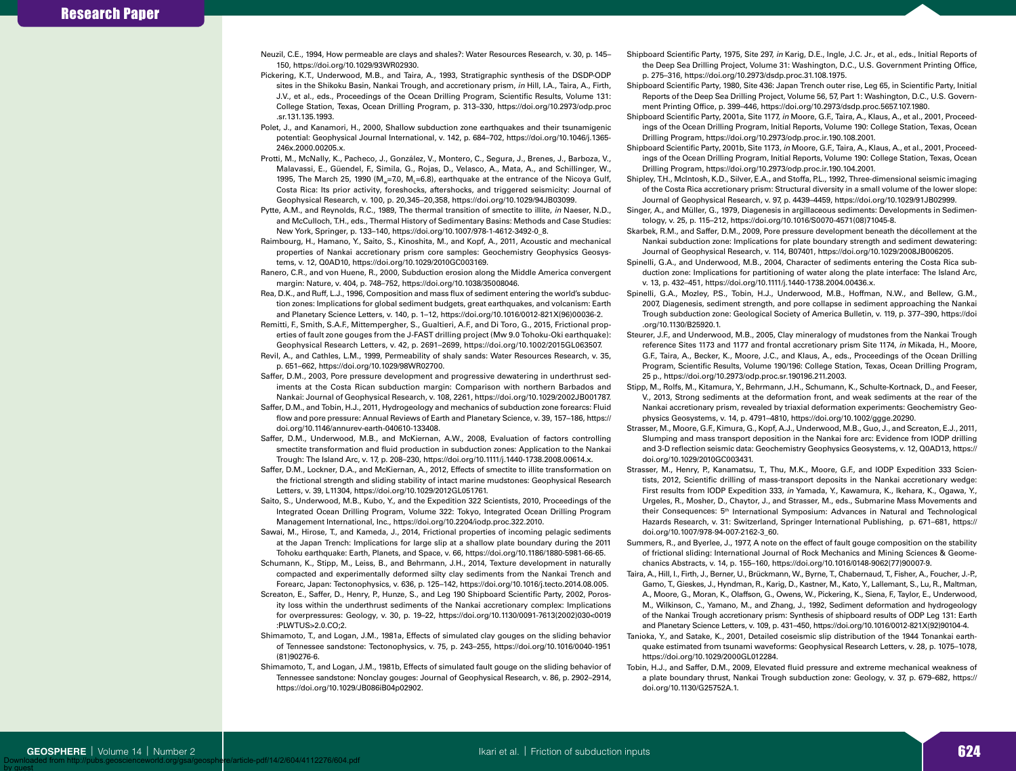- Neuzil, C.E., 1994, How permeable are clays and shales?: Water Resources Research, v. 30, p. 145– 150, https://doi.org/10.1029/93WR02930.
- Pickering, K.T., Underwood, M.B., and Taira, A., 1993, Stratigraphic synthesis of the DSDP-ODP sites in the Shikoku Basin, Nankai Trough, and accretionary prism, *in* Hill, I.A., Taira, A., Firth, J.V., et al., eds., Proceedings of the Ocean Drilling Program, Scientific Results, Volume 131: College Station, Texas, Ocean Drilling Program, p. 313–330, https://doi.org/10.2973/odp.proc .sr.131.135.1993.
- Polet, J., and Kanamori, H., 2000, Shallow subduction zone earthquakes and their tsunamigenic potential: Geophysical Journal International, v. 142, p. 684–702, https://doi.org/10.1046/j.1365- 246x.2000.00205.x.
- Protti, M., McNally, K., Pacheco, J., González, V., Montero, C., Segura, J., Brenes, J., Barboza, V., Malavassi, E., Güendel, F., Simila, G., Rojas, D., Velasco, A., Mata, A., and Schillinger, W., 1995, The March 25, 1990 (M<sub>w</sub>=7.0, M<sub>1</sub>=6.8), earthquake at the entrance of the Nicoya Gulf, Costa Rica: Its prior activity, foreshocks, aftershocks, and triggered seismicity: Journal of Geophysical Research, v. 100, p. 20,345–20,358, https://doi.org/10.1029/94JB03099.
- Pytte, A.M., and Reynolds, R.C., 1989, The thermal transition of smectite to illite, *in* Naeser, N.D., and McCulloch, T.H., eds., Thermal History of Sedimentary Basins: Methods and Case Studies: New York, Springer, p. 133–140, https://doi.org/10.1007/978-1-4612-3492-0\_8.
- Raimbourg, H., Hamano, Y., Saito, S., Kinoshita, M., and Kopf, A., 2011, Acoustic and mechanical properties of Nankai accretionary prism core samples: Geochemistry Geophysics Geosystems, v. 12, Q0AD10, https://doi.org/10.1029/2010GC003169.
- Ranero, C.R., and von Huene, R., 2000, Subduction erosion along the Middle America convergent margin: Nature, v. 404, p. 748–752, https://doi.org/10.1038/35008046.
- Rea, D.K., and Ruff, L.J., 1996, Composition and mass flux of sediment entering the world's subduction zones: Implications for global sediment budgets, great earthquakes, and volcanism: Earth and Planetary Science Letters, v. 140, p. 1–12, https://doi.org/10.1016/0012-821X(96)00036-2.
- Remitti, F., Smith, S.A.F., Mittempergher, S., Gualtieri, A.F., and Di Toro, G., 2015, Frictional properties of fault zone gouges from the J-FAST drilling project (Mw 9.0 Tohoku-Oki earthquake): Geophysical Research Letters, v. 42, p. 2691–2699, https://doi.org/10.1002/2015GL063507.
- Revil, A., and Cathles, L.M., 1999, Permeability of shaly sands: Water Resources Research, v. 35, p. 651–662, https://doi.org/10.1029/98WR02700.
- Saffer, D.M., 2003, Pore pressure development and progressive dewatering in underthrust sediments at the Costa Rican subduction margin: Comparison with northern Barbados and Nankai: Journal of Geophysical Research, v. 108, 2261, https://doi.org/10.1029/2002JB001787.
- Saffer, D.M., and Tobin, H.J., 2011, Hydrogeology and mechanics of subduction zone forearcs: Fluid flow and pore pressure: Annual Reviews of Earth and Planetary Science, v. 39, 157–186, https:// doi.org/10.1146/annurev-earth-040610-133408.
- Saffer, D.M., Underwood, M.B., and McKiernan, A.W., 2008, Evaluation of factors controlling smectite transformation and fluid production in subduction zones: Application to the Nankai Trough: The Island Arc, v. 17, p. 208–230, https://doi.org/10.1111/j.1440-1738.2008.00614.x.
- Saffer, D.M., Lockner, D.A., and McKiernan, A., 2012, Effects of smectite to illite transformation on the frictional strength and sliding stability of intact marine mudstones: Geophysical Research Letters, v. 39, L11304, https://doi.org/10.1029/2012GL051761.
- Saito, S., Underwood, M.B., Kubo, Y., and the Expedition 322 Scientists, 2010, Proceedings of the Integrated Ocean Drilling Program, Volume 322: Tokyo, Integrated Ocean Drilling Program Management International, Inc., https://doi.org/10.2204/iodp.proc.322.2010.
- Sawai, M., Hirose, T., and Kameda, J., 2014, Frictional properties of incoming pelagic sediments at the Japan Trench: Implications for large slip at a shallow plate boundary during the 2011 Tohoku earthquake: Earth, Planets, and Space, v. 66, https://doi.org/10.1186/1880-5981-66-65.
- Schumann, K., Stipp, M., Leiss, B., and Behrmann, J.H., 2014, Texture development in naturally compacted and experimentally deformed silty clay sediments from the Nankai Trench and Forearc, Japan: Tectonophysics, v. 636, p. 125–142, https://doi.org/10.1016/j.tecto.2014.08.005.
- Screaton, E., Saffer, D., Henry, P., Hunze, S., and Leg 190 Shipboard Scientific Party, 2002, Porosity loss within the underthrust sediments of the Nankai accretionary complex: Implications for overpressures: Geology, v. 30, p. 19–22, https://doi.org/10.1130/0091-7613(2002)030<0019 :PLWTUS>2.0.CO;2.
- Shimamoto, T., and Logan, J.M., 1981a, Effects of simulated clay gouges on the sliding behavior of Tennessee sandstone: Tectonophysics, v. 75, p. 243–255, https://doi.org/10.1016/0040-1951 (81)90276-6.
- Shimamoto, T., and Logan, J.M., 1981b, Effects of simulated fault gouge on the sliding behavior of Tennessee sandstone: Nonclay gouges: Journal of Geophysical Research, v. 86, p. 2902–2914, https://doi.org/10.1029/JB086iB04p02902.
- Shipboard Scientific Party, 1975, Site 297, *in* Karig, D.E., Ingle, J.C. Jr., et al., eds., Initial Reports of the Deep Sea Drilling Project, Volume 31: Washington, D.C., U.S. Government Printing Office, p. 275–316, https://doi.org/10.2973/dsdp.proc.31.108.1975.
- Shipboard Scientific Party, 1980, Site 436: Japan Trench outer rise, Leg 65, in Scientific Party, Initial Reports of the Deep Sea Drilling Project, Volume 56, 57, Part 1: Washington, D.C., U.S. Government Printing Office, p. 399–446, https://doi.org/10.2973/dsdp.proc.5657.107.1980.
- Shipboard Scientific Party, 2001a, Site 1177, *in* Moore, G.F., Taira, A., Klaus, A., et al., 2001, Proceedings of the Ocean Drilling Program, Initial Reports, Volume 190: College Station, Texas, Ocean Drilling Program, https://doi.org/10.2973/odp.proc.ir.190.108.2001.
- Shipboard Scientific Party, 2001b, Site 1173, *in* Moore, G.F., Taira, A., Klaus, A., et al., 2001, Proceedings of the Ocean Drilling Program, Initial Reports, Volume 190: College Station, Texas, Ocean Drilling Program, https://doi.org/10.2973/odp.proc.ir.190.104.2001.
- Shipley, T.H., McIntosh, K.D., Silver, E.A., and Stoffa, P.L., 1992, Three-dimensional seismic imaging of the Costa Rica accretionary prism: Structural diversity in a small volume of the lower slope: Journal of Geophysical Research, v. 97, p. 4439–4459, https://doi.org/10.1029/91JB02999.
- Singer, A., and Müller, G., 1979, Diagenesis in argillaceous sediments: Developments in Sedimentology, v. 25, p. 115–212, https://doi.org/10.1016/S0070-4571(08)71045-8.
- Skarbek, R.M., and Saffer, D.M., 2009, Pore pressure development beneath the décollement at the Nankai subduction zone: Implications for plate boundary strength and sediment dewatering: Journal of Geophysical Research, v. 114, B07401, https://doi.org/10.1029/2008JB006205.
- Spinelli, G.A., and Underwood, M.B., 2004, Character of sediments entering the Costa Rica subduction zone: Implications for partitioning of water along the plate interface: The Island Arc, v. 13, p. 432–451, https://doi.org/10.1111/j.1440-1738.2004.00436.x.
- Spinelli, G.A., Mozley, P.S., Tobin, H.J., Underwood, M.B., Hoffman, N.W., and Bellew, G.M., 2007, Diagenesis, sediment strength, and pore collapse in sediment approaching the Nankai Trough subduction zone: Geological Society of America Bulletin, v. 119, p. 377–390, https://doi .org/10.1130/B25920.1.
- Steurer, J.F., and Underwood, M.B., 2005, Clay mineralogy of mudstones from the Nankai Trough reference Sites 1173 and 1177 and frontal accretionary prism Site 1174, *in* Mikada, H., Moore, G.F., Taira, A., Becker, K., Moore, J.C., and Klaus, A., eds., Proceedings of the Ocean Drilling Program, Scientific Results, Volume 190/196: College Station, Texas, Ocean Drilling Program, 25 p., https://doi.org/10.2973/odp.proc.sr.190196.211.2003.
- Stipp, M., Rolfs, M., Kitamura, Y., Behrmann, J.H., Schumann, K., Schulte-Kortnack, D., and Feeser, V., 2013, Strong sediments at the deformation front, and weak sediments at the rear of the Nankai accretionary prism, revealed by triaxial deformation experiments: Geochemistry Geophysics Geosystems, v. 14, p. 4791–4810, https://doi.org/10.1002/ggge.20290.
- Strasser, M., Moore, G.F., Kimura, G., Kopf, A.J., Underwood, M.B., Guo, J., and Screaton, E.J., 2011, Slumping and mass transport deposition in the Nankai fore arc: Evidence from IODP drilling and 3-D reflection seismic data: Geochemistry Geophysics Geosystems, v. 12, Q0AD13, https:// doi.org/10.1029/2010GC003431.
- Strasser, M., Henry, P., Kanamatsu, T., Thu, M.K., Moore, G.F., and IODP Expedition 333 Scientists, 2012, Scientific drilling of mass-transport deposits in the Nankai accretionary wedge: First results from IODP Expedition 333, *in* Yamada, Y., Kawamura, K., Ikehara, K., Ogawa, Y., Urgeles, R., Mosher, D., Chaytor, J., and Strasser, M., eds., Submarine Mass Movements and their Consequences: 5th International Symposium: Advances in Natural and Technological Hazards Research, v. 31: Switzerland, Springer International Publishing, p. 671–681, https:// doi.org/10.1007/978-94-007-2162-3\_60.
- Summers, R., and Byerlee, J., 1977, A note on the effect of fault gouge composition on the stability of frictional sliding: International Journal of Rock Mechanics and Mining Sciences & Geomechanics Abstracts, v. 14, p. 155–160, https://doi.org/10.1016/0148-9062(77)90007-9.
- Taira, A., Hill, I., Firth, J., Berner, U., Brückmann, W., Byrne, T., Chabernaud, T., Fisher, A., Foucher, J.-P., Gamo, T., Gieskes, J., Hyndman, R., Karig, D., Kastner, M., Kato, Y., Lallemant, S., Lu, R., Maltman, A., Moore, G., Moran, K., Olaffson, G., Owens, W., Pickering, K., Siena, F., Taylor, E., Underwood, M., Wilkinson, C., Yamano, M., and Zhang, J., 1992, Sediment deformation and hydrogeology of the Nankai Trough accretionary prism: Synthesis of shipboard results of ODP Leg 131: Earth and Planetary Science Letters, v. 109, p. 431–450, https://doi.org/10.1016/0012-821X(92)90104-4.
- Tanioka, Y., and Satake, K., 2001, Detailed coseismic slip distribution of the 1944 Tonankai earthquake estimated from tsunami waveforms: Geophysical Research Letters, v. 28, p. 1075–1078, https://doi.org/10.1029/2000GL012284.
- Tobin, H.J., and Saffer, D.M., 2009, Elevated fluid pressure and extreme mechanical weakness of a plate boundary thrust, Nankai Trough subduction zone: Geology, v. 37, p. 679–682, https:// doi.org/10.1130/G25752A.1.